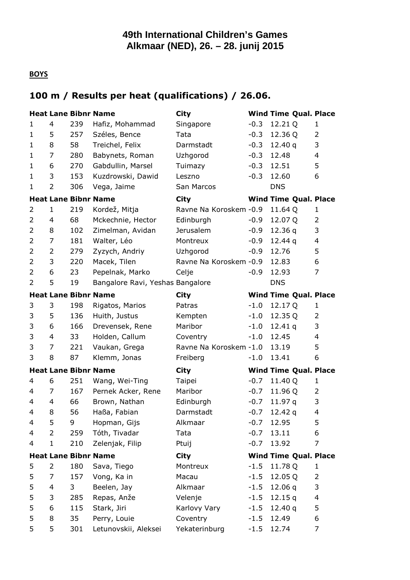#### **BOYS**

#### **100 m / Results per heat (qualifications) / 26.06.**

|                |                |     | <b>Heat Lane Bibnr Name</b>      | <b>City</b>             |        | <b>Wind Time Qual. Place</b> |                          |
|----------------|----------------|-----|----------------------------------|-------------------------|--------|------------------------------|--------------------------|
| 1              | 4              | 239 | Hafiz, Mohammad                  | Singapore               | $-0.3$ | 12.21 Q                      | 1                        |
| $\mathbf 1$    | 5              | 257 | Széles, Bence                    | Tata                    | $-0.3$ | 12.36 Q                      | 2                        |
| $\mathbf 1$    | 8              | 58  | Treichel, Felix                  | Darmstadt               | $-0.3$ | 12.40 $q$                    | 3                        |
| $\mathbf 1$    | 7              | 280 | Babynets, Roman                  | Uzhgorod                | $-0.3$ | 12.48                        | 4                        |
| $\mathbf 1$    | 6              | 270 | Gabdullin, Marsel                | Tuimazy                 | $-0.3$ | 12.51                        | 5                        |
| $\mathbf{1}$   | 3              | 153 | Kuzdrowski, Dawid                | Leszno                  | $-0.3$ | 12.60                        | 6                        |
| 1              | $\overline{2}$ | 306 | Vega, Jaime                      | San Marcos              |        | <b>DNS</b>                   |                          |
|                |                |     | <b>Heat Lane Bibnr Name</b>      | <b>City</b>             |        | <b>Wind Time Qual. Place</b> |                          |
| 2              | 1              | 219 | Kordež, Mitja                    | Ravne Na Koroskem - 0.9 |        | 11.64 Q                      | $\mathbf{1}$             |
| $\overline{2}$ | 4              | 68  | Mckechnie, Hector                | Edinburgh               | $-0.9$ | 12.07 Q                      | $\overline{2}$           |
| 2              | 8              | 102 | Zimelman, Avidan                 | <b>Jerusalem</b>        | $-0.9$ | 12.36 $q$                    | 3                        |
| 2              | 7              | 181 | Walter, Léo                      | Montreux                | $-0.9$ | 12.44 $q$                    | $\overline{\mathcal{L}}$ |
| $\overline{2}$ | 2              | 279 | Zyzych, Andriy                   | Uzhgorod                | $-0.9$ | 12.76                        | 5                        |
| 2              | 3              | 220 | Macek, Tilen                     | Ravne Na Koroskem - 0.9 |        | 12.83                        | 6                        |
| 2              | 6              | 23  | Pepelnak, Marko                  | Celje                   | $-0.9$ | 12.93                        | $\overline{7}$           |
| $\overline{2}$ | 5              | 19  | Bangalore Ravi, Yeshas Bangalore |                         |        | <b>DNS</b>                   |                          |
|                |                |     | <b>Heat Lane Bibnr Name</b>      | <b>City</b>             |        | <b>Wind Time Qual. Place</b> |                          |
| 3              | 3              | 198 | Rigatos, Marios                  | Patras                  | $-1.0$ | 12.17 Q                      | 1                        |
| 3              | 5              | 136 | Huith, Justus                    | Kempten                 | $-1.0$ | 12.35 Q                      | $\overline{2}$           |
| 3              | 6              | 166 | Drevensek, Rene                  | Maribor                 | $-1.0$ | 12.41 $q$                    | 3                        |
| 3              | 4              | 33  | Holden, Callum                   | Coventry                | $-1.0$ | 12.45                        | 4                        |
| 3              | $\overline{7}$ | 221 | Vaukan, Grega                    | Ravne Na Koroskem -1.0  |        | 13.19                        | 5                        |
| 3              | 8              | 87  | Klemm, Jonas                     | Freiberg                | $-1.0$ | 13.41                        | 6                        |
|                |                |     | <b>Heat Lane Bibnr Name</b>      | City                    |        | <b>Wind Time Qual. Place</b> |                          |
| 4              | 6              | 251 | Wang, Wei-Ting                   | Taipei                  | $-0.7$ | 11.40 Q                      | 1                        |
| 4              | 7              | 167 | Pernek Acker, Rene               | Maribor                 | $-0.7$ | 11.96 Q                      | $\overline{2}$           |
| 4              | 4              | 66  | Brown, Nathan                    | Edinburgh               | $-0.7$ | 11.97q                       | 3                        |
| 4              | 8              | 56  | Haßa, Fabian                     | Darmstadt               | $-0.7$ | 12.42 $q$                    | $\overline{\mathcal{L}}$ |
| 4              | 5              | 9   | Hopman, Gijs                     | Alkmaar                 | $-0.7$ | 12.95                        | 5                        |
| 4              | $\overline{2}$ | 259 | Tóth, Tivadar                    | Tata                    | $-0.7$ | 13.11                        | 6                        |
| 4              | $\mathbf{1}$   | 210 | Zelenjak, Filip                  | Ptuij                   | $-0.7$ | 13.92                        | 7                        |
|                |                |     | <b>Heat Lane Bibnr Name</b>      | City                    |        | <b>Wind Time Qual. Place</b> |                          |
| 5              | 2              | 180 | Sava, Tiego                      | Montreux                | $-1.5$ | 11.78 Q                      | 1                        |
| 5              | 7              | 157 | Vong, Ka in                      | Macau                   | $-1.5$ | 12.05 Q                      | 2                        |
| 5              | 4              | 3   | Beelen, Jay                      | Alkmaar                 | $-1.5$ | 12.06 $q$                    | 3                        |
| 5              | 3              | 285 | Repas, Anže                      | Velenje                 | $-1.5$ | 12.15q                       | 4                        |
| 5              | 6              | 115 | Stark, Jiri                      | Karlovy Vary            | $-1.5$ | 12.40 $q$                    | 5                        |
| 5              | 8              | 35  | Perry, Louie                     | Coventry                | $-1.5$ | 12.49                        | 6                        |
| 5              | 5              | 301 | Letunovskii, Aleksei             | Yekaterinburg           | $-1.5$ | 12.74                        | 7                        |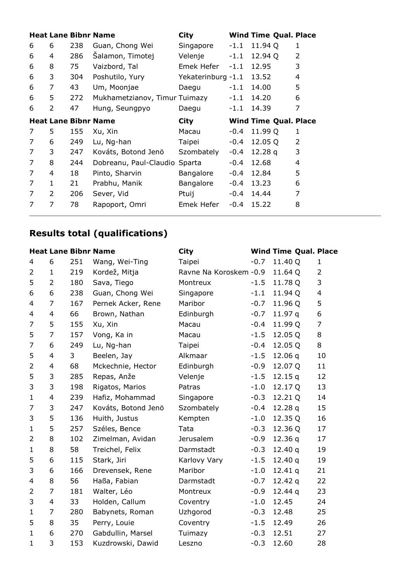|   |   |     | <b>Heat Lane Bibnr Name</b>   | City               |        | <b>Wind Time Qual. Place</b> |                |
|---|---|-----|-------------------------------|--------------------|--------|------------------------------|----------------|
| 6 | 6 | 238 | Guan, Chong Wei               | Singapore          | $-1.1$ | 11.94 Q                      | 1              |
| 6 | 4 | 286 | Salamon, Timotej              | Velenje            | $-1.1$ | 12.94 Q                      | $\mathcal{P}$  |
| 6 | 8 | 75  | Vaizbord, Tal                 | Emek Hefer         | $-1.1$ | 12.95                        | 3              |
| 6 | 3 | 304 | Poshutilo, Yury               | Yekaterinburg -1.1 |        | 13.52                        | 4              |
| 6 | 7 | 43  | Um, Moonjae                   | Daegu              | $-1.1$ | 14.00                        | 5              |
| 6 | 5 | 272 | Mukhametzianov, Timur Tuimazy |                    | $-1.1$ | 14.20                        | 6              |
| 6 | 2 | 47  | Hung, Seungpyo                | Daegu              | $-1.1$ | 14.39                        | 7              |
|   |   |     | <b>Heat Lane Bibnr Name</b>   | <b>City</b>        |        | <b>Wind Time Qual. Place</b> |                |
| 7 | 5 | 155 | Xu, Xin                       | Macau              | $-0.4$ | 11.99 Q                      | 1              |
| 7 | 6 | 249 | Lu, Ng-han                    | Taipei             | -0.4   | 12.05 Q                      | $\overline{2}$ |
| 7 | 3 | 247 | Kováts, Botond Jenö           | Szombately         | -0.4   | 12.28 $q$                    | 3              |
| 7 | 8 | 244 | Dobreanu, Paul-Claudio Sparta |                    | -0.4   | 12.68                        | 4              |
| 7 | 4 | 18  | Pinto, Sharvin                | Bangalore          | -0.4   | 12.84                        | 5              |
| 7 | 1 | 21  | Prabhu, Manik                 | Bangalore          | -0.4   | 13.23                        | 6              |
| 7 |   |     |                               |                    |        |                              |                |
|   | 2 | 206 | Sever, Vid                    | Ptuij              | -0.4   | 14.44                        | 7              |

# **Results total (qualifications)**

#### **Heat Lane Bibnr Name City Wind Time Qual. Place**

| 4                        | 6              | 251 | Wang, Wei-Ting      | Taipei                 | $-0.7$ | 11.40 Q   | $\mathbf{1}$   |
|--------------------------|----------------|-----|---------------------|------------------------|--------|-----------|----------------|
| 2                        | $\mathbf{1}$   | 219 | Kordež, Mitja       | Ravne Na Koroskem -0.9 |        | 11.64 Q   | $\overline{2}$ |
| 5                        | $\overline{2}$ | 180 | Sava, Tiego         | Montreux               | $-1.5$ | 11.78 Q   | 3              |
| 6                        | 6              | 238 | Guan, Chong Wei     | Singapore              | $-1.1$ | 11.94 Q   | 4              |
| $\overline{4}$           | $\overline{7}$ | 167 | Pernek Acker, Rene  | Maribor                | $-0.7$ | 11.96 Q   | 5              |
| $\overline{4}$           | 4              | 66  | Brown, Nathan       | Edinburgh              | $-0.7$ | 11.97q    | 6              |
| $\overline{7}$           | 5              | 155 | Xu, Xin             | Macau                  | $-0.4$ | 11.99 Q   | 7              |
| 5                        | $\overline{7}$ | 157 | Vong, Ka in         | Macau                  | $-1.5$ | 12.05 Q   | 8              |
| 7                        | 6              | 249 | Lu, Ng-han          | Taipei                 | $-0.4$ | 12.05 Q   | 8              |
| 5                        | 4              | 3   | Beelen, Jay         | Alkmaar                | $-1.5$ | 12.06q    | 10             |
| $\overline{2}$           | 4              | 68  | Mckechnie, Hector   | Edinburgh              | $-0.9$ | 12.07 Q   | 11             |
| 5                        | 3              | 285 | Repas, Anže         | Velenje                | $-1.5$ | 12.15q    | 12             |
| 3                        | 3              | 198 | Rigatos, Marios     | Patras                 | $-1.0$ | 12.17 Q   | 13             |
| $\mathbf{1}$             | 4              | 239 | Hafiz, Mohammad     | Singapore              | $-0.3$ | 12.21 Q   | 14             |
| 7                        | 3              | 247 | Kováts, Botond Jenö | Szombately             | $-0.4$ | 12.28q    | 15             |
| 3                        | 5              | 136 | Huith, Justus       | Kempten                | $-1.0$ | 12.35 Q   | 16             |
| $\mathbf{1}$             | 5              | 257 | Széles, Bence       | Tata                   | $-0.3$ | 12.36 Q   | 17             |
| 2                        | 8              | 102 | Zimelman, Avidan    | <b>Jerusalem</b>       | $-0.9$ | 12.36q    | 17             |
| $\mathbf{1}$             | 8              | 58  | Treichel, Felix     | Darmstadt              | $-0.3$ | 12.40q    | 19             |
| 5                        | 6              | 115 | Stark, Jiri         | Karlovy Vary           | $-1.5$ | 12.40q    | 19             |
| 3                        | 6              | 166 | Drevensek, Rene     | Maribor                | $-1.0$ | 12.41q    | 21             |
| $\overline{\mathcal{A}}$ | 8              | 56  | Haßa, Fabian        | Darmstadt              | $-0.7$ | 12.42 $q$ | 22             |
| 2                        | $\overline{7}$ | 181 | Walter, Léo         | Montreux               | $-0.9$ | 12.44q    | 23             |
| 3                        | 4              | 33  | Holden, Callum      | Coventry               | $-1.0$ | 12.45     | 24             |
| $\mathbf{1}$             | 7              | 280 | Babynets, Roman     | Uzhgorod               | $-0.3$ | 12.48     | 25             |
| 5                        | 8              | 35  | Perry, Louie        | Coventry               | $-1.5$ | 12.49     | 26             |
| $\mathbf{1}$             | 6              | 270 | Gabdullin, Marsel   | Tuimazy                | $-0.3$ | 12.51     | 27             |
| $\mathbf{1}$             | 3              | 153 | Kuzdrowski, Dawid   | Leszno                 | $-0.3$ | 12.60     | 28             |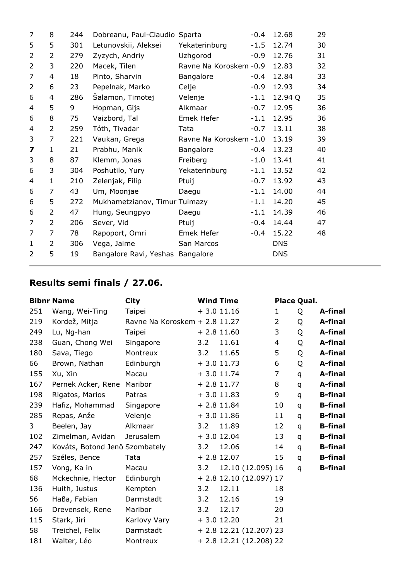| 7                       | 8              | 244 | Dobreanu, Paul-Claudio Sparta    |                        | $-0.4$ | 12.68      | 29 |
|-------------------------|----------------|-----|----------------------------------|------------------------|--------|------------|----|
| 5                       | 5              | 301 | Letunovskii, Aleksei             | Yekaterinburg          | $-1.5$ | 12.74      | 30 |
| $\overline{2}$          | 2              | 279 | Zyzych, Andriy                   | Uzhgorod               | $-0.9$ | 12.76      | 31 |
| $\overline{2}$          | 3              | 220 | Macek, Tilen                     | Ravne Na Koroskem -0.9 |        | 12.83      | 32 |
| $\overline{7}$          | 4              | 18  | Pinto, Sharvin                   | Bangalore              | $-0.4$ | 12.84      | 33 |
| $\overline{2}$          | 6              | 23  | Pepelnak, Marko                  | Celje                  | $-0.9$ | 12.93      | 34 |
| 6                       | 4              | 286 | Šalamon, Timotej                 | Velenje                | $-1.1$ | 12.94 Q    | 35 |
| 4                       | 5              | 9   | Hopman, Gijs                     | Alkmaar                | $-0.7$ | 12.95      | 36 |
| 6                       | 8              | 75  | Vaizbord, Tal                    | Emek Hefer             | $-1.1$ | 12.95      | 36 |
| 4                       | $\overline{2}$ | 259 | Tóth, Tivadar                    | Tata                   | $-0.7$ | 13.11      | 38 |
| 3                       | 7              | 221 | Vaukan, Grega                    | Ravne Na Koroskem -1.0 |        | 13.19      | 39 |
| $\overline{\mathbf{z}}$ | 1              | 21  | Prabhu, Manik                    | Bangalore              | $-0.4$ | 13.23      | 40 |
| 3                       | 8              | 87  | Klemm, Jonas                     | Freiberg               | $-1.0$ | 13.41      | 41 |
| 6                       | 3              | 304 | Poshutilo, Yury                  | Yekaterinburg          | $-1.1$ | 13.52      | 42 |
| 4                       | 1              | 210 | Zelenjak, Filip                  | Ptuij                  | $-0.7$ | 13.92      | 43 |
| 6                       | 7              | 43  | Um, Moonjae                      | Daegu                  | $-1.1$ | 14.00      | 44 |
| 6                       | 5              | 272 | Mukhametzianov, Timur Tuimazy    |                        | $-1.1$ | 14.20      | 45 |
| 6                       | 2              | 47  | Hung, Seungpyo                   | Daegu                  | $-1.1$ | 14.39      | 46 |
| 7                       | $\overline{2}$ | 206 | Sever, Vid                       | Ptuij                  | $-0.4$ | 14.44      | 47 |
| 7                       | 7              | 78  | Rapoport, Omri                   | Emek Hefer             | $-0.4$ | 15.22      | 48 |
| $\mathbf{1}$            | 2              | 306 | Vega, Jaime                      | San Marcos             |        | <b>DNS</b> |    |
| $\overline{2}$          | 5              | 19  | Bangalore Ravi, Yeshas Bangalore |                        |        | <b>DNS</b> |    |
|                         |                |     |                                  |                        |        |            |    |

#### **Results semi finals / 27.06.**

|     | <b>Bibnr Name</b>              | <b>City</b>                   |     | <b>Wind Time</b>          |                | Place Qual. |                |
|-----|--------------------------------|-------------------------------|-----|---------------------------|----------------|-------------|----------------|
| 251 | Wang, Wei-Ting                 | Taipei                        |     | $+3.011.16$               | 1              | Q           | A-final        |
| 219 | Kordež, Mitja                  | Ravne Na Koroskem + 2.8 11.27 |     |                           | $\overline{2}$ | Q           | A-final        |
| 249 | Lu, Ng-han                     | Taipei                        |     | $+2.8$ 11.60              | 3              | Q           | A-final        |
| 238 | Guan, Chong Wei                | Singapore                     | 3.2 | 11.61                     | $\overline{4}$ | Q           | A-final        |
| 180 | Sava, Tiego                    | Montreux                      | 3.2 | 11.65                     | 5              | Q           | A-final        |
| 66  | Brown, Nathan                  | Edinburgh                     |     | $+3.011.73$               | 6              | Q           | A-final        |
| 155 | Xu, Xin                        | Macau                         |     | $+3.011.74$               | 7              | q           | A-final        |
| 167 | Pernek Acker, Rene             | Maribor                       |     | $+ 2.8 11.77$             | 8              | q           | A-final        |
| 198 | Rigatos, Marios                | Patras                        |     | $+3.011.83$               | 9              | q           | <b>B-final</b> |
| 239 | Hafiz, Mohammad                | Singapore                     |     | $+ 2.8$ 11.84             | 10             | q           | <b>B-final</b> |
| 285 | Repas, Anže                    | Velenje                       |     | $+3.011.86$               | 11             | q           | <b>B-final</b> |
| 3   | Beelen, Jay                    | Alkmaar                       | 3.2 | 11.89                     | 12             | q           | <b>B-final</b> |
| 102 | Zimelman, Avidan               | <b>Jerusalem</b>              |     | $+3.012.04$               | 13             | q           | <b>B-final</b> |
| 247 | Kováts, Botond Jenö Szombately |                               | 3.2 | 12.06                     | 14             | q           | <b>B-final</b> |
| 257 | Széles, Bence                  | Tata                          |     | $+2.8$ 12.07              | 15             | q           | <b>B-final</b> |
| 157 | Vong, Ka in                    | Macau                         | 3.2 | 12.10 (12.095) 16         |                | q           | <b>B-final</b> |
| 68  | Mckechnie, Hector              | Edinburgh                     |     | $+ 2.8 12.10 (12.097) 17$ |                |             |                |
| 136 | Huith, Justus                  | Kempten                       | 3.2 | 12.11                     | 18             |             |                |
| 56  | Haßa, Fabian                   | Darmstadt                     | 3.2 | 12.16                     | 19             |             |                |
| 166 | Drevensek, Rene                | Maribor                       | 3.2 | 12.17                     | 20             |             |                |
| 115 | Stark, Jiri                    | Karlovy Vary                  |     | $+3.012.20$               | 21             |             |                |
| 58  | Treichel, Felix                | Darmstadt                     |     | $+ 2.8$ 12.21 (12.207) 23 |                |             |                |
| 181 | Walter, Léo                    | Montreux                      |     | + 2.8 12.21 (12.208) 22   |                |             |                |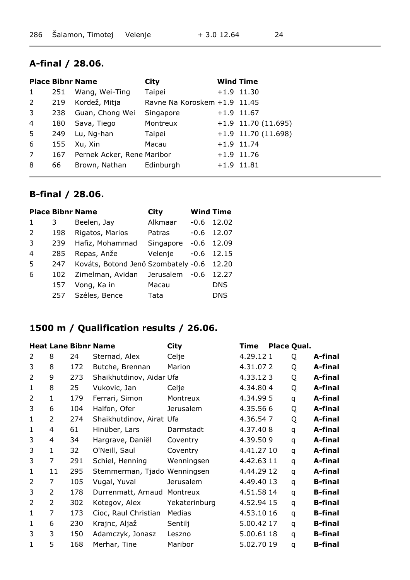#### **A-final / 28.06.**

|   |     | <b>Place Bibnr Name</b>    | City                         | <b>Wind Time</b>      |
|---|-----|----------------------------|------------------------------|-----------------------|
| 1 | 251 | Wang, Wei-Ting             | Taipei                       | $+1.9$ 11.30          |
| 2 | 219 | Kordež, Mitja              | Ravne Na Koroskem +1.9 11.45 |                       |
| 3 | 238 | Guan, Chong Wei            | Singapore                    | $+1.9$ 11.67          |
| 4 | 180 | Sava, Tiego                | Montreux                     | $+1.9$ 11.70 (11.695) |
| 5 | 249 | Lu, Ng-han                 | Taipei                       | $+1.9$ 11.70 (11.698) |
| 6 | 155 | Xu, Xin                    | Macau                        | $+1.9$ 11.74          |
| 7 | 167 | Pernek Acker, Rene Maribor |                              | $+1.9$ 11.76          |
| 8 | 66  | Brown, Nathan              | Edinburgh                    | $+1.9$ 11.81          |
|   |     |                            |                              |                       |

#### **B-final / 28.06.**

|                |     | <b>Place Bibnr Name</b>                   | City      | <b>Wind Time</b> |            |
|----------------|-----|-------------------------------------------|-----------|------------------|------------|
| $\mathbf{1}$   | 3   | Beelen, Jay                               | Alkmaar   | $-0.6$           | 12.02      |
| 2              | 198 | Rigatos, Marios                           | Patras    | $-0.6$           | 12.07      |
| 3              | 239 | Hafiz, Mohammad                           | Singapore | $-0.6$           | 12.09      |
| $\overline{4}$ | 285 | Repas, Anže                               | Velenje   | $-0.6$           | 12.15      |
| -5             | 247 | Kováts, Botond Jenö Szombately -0.6 12.20 |           |                  |            |
| 6              | 102 | Zimelman, Avidan Jerusalem                |           | $-0.6$           | 12.27      |
|                | 157 | Vong, Ka in                               | Macau     |                  | <b>DNS</b> |
|                | 257 | Széles, Bence                             | Tata      |                  | <b>DNS</b> |

#### **1500 m / Qualification results / 26.06.**

|                |                |     | <b>Heat Lane Bibnr Name</b>  | <b>City</b>   | <b>Time</b> | <b>Place Qual.</b> |   |                |
|----------------|----------------|-----|------------------------------|---------------|-------------|--------------------|---|----------------|
| 2              | 8              | 24  | Sternad, Alex                | Celje         | 4.29.121    |                    | Q | A-final        |
| 3              | 8              | 172 | Butche, Brennan              | Marion        | 4.31.072    |                    | Q | A-final        |
| $\overline{2}$ | 9              | 273 | Shaikhutdinov, Aidar Ufa     |               | 4.33.123    |                    | Q | A-final        |
| 1              | 8              | 25  | Vukovic, Jan                 | Celje         | 4.34.804    |                    | Q | A-final        |
| $\overline{2}$ | $\mathbf{1}$   | 179 | Ferrari, Simon               | Montreux      | 4.34.995    |                    | q | A-final        |
| 3              | 6              | 104 | Halfon, Ofer                 | Jerusalem     | 4.35.566    |                    | Q | A-final        |
| 1              | $\overline{2}$ | 274 | Shaikhutdinov, Airat Ufa     |               | 4.36.547    |                    | Q | A-final        |
| $\mathbf{1}$   | 4              | 61  | Hinüber, Lars                | Darmstadt     | 4.37.408    |                    | q | A-final        |
| 3              | 4              | 34  | Hargrave, Daniël             | Coventry      | 4.39.509    |                    | q | A-final        |
| 3              | 1              | 32  | O'Neill, Saul                | Coventry      | 4.41.27 10  |                    | q | A-final        |
| 3              | 7              | 291 | Schiel, Henning              | Wenningsen    | 4.42.63 11  |                    | q | A-final        |
| $\mathbf{1}$   | 11             | 295 | Stemmerman, Tjado Wenningsen |               | 4.44.29 12  |                    | q | A-final        |
| $\overline{2}$ | 7              | 105 | Vugal, Yuval                 | Jerusalem     | 4.49.40 13  |                    | q | <b>B-final</b> |
| 3              | 2              | 178 | Durrenmatt, Arnaud           | Montreux      | 4.51.58 14  |                    | q | <b>B-final</b> |
| $\overline{2}$ | 2              | 302 | Kotegov, Alex                | Yekaterinburg | 4.52.94 15  |                    | q | <b>B-final</b> |
| $\mathbf{1}$   | 7              | 173 | Cioc, Raul Christian         | Medias        | 4.53.10 16  |                    | q | <b>B-final</b> |
| $\mathbf{1}$   | 6              | 230 | Krajnc, Aljaž                | Sentilj       | 5.00.42 17  |                    | q | <b>B-final</b> |
| 3              | 3              | 150 | Adamczyk, Jonasz             | Leszno        | 5.00.61 18  |                    | q | <b>B-final</b> |
| $\mathbf{1}$   | 5              | 168 | Merhar, Tine                 | Maribor       | 5.02.70 19  |                    | q | <b>B-final</b> |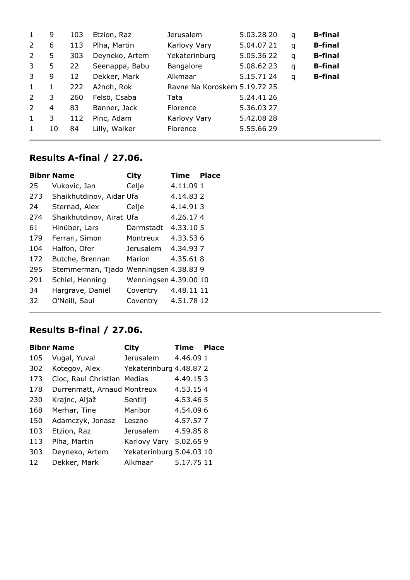| $\mathbf{1}$   | 9  | 103 | Etzion, Raz    | <b>Jerusalem</b>             | 5.03.28 20 | q | <b>B-final</b> |
|----------------|----|-----|----------------|------------------------------|------------|---|----------------|
| 2              | 6  | 113 | Plha, Martin   | Karlovy Vary                 | 5.04.07 21 | q | <b>B-final</b> |
| $\overline{2}$ | 5  | 303 | Deyneko, Artem | Yekaterinburg                | 5.05.36 22 | q | <b>B-final</b> |
| 3              | 5  | 22  | Seenappa, Babu | Bangalore                    | 5.08.62 23 | q | <b>B-final</b> |
| 3              | 9  | 12  | Dekker, Mark   | Alkmaar                      | 5.15.71 24 | q | <b>B-final</b> |
| $\mathbf{1}$   | 1  | 222 | Ažnoh, Rok     | Ravne Na Koroskem 5.19.72 25 |            |   |                |
| $\overline{2}$ | 3  | 260 | Felsö, Csaba   | Tata                         | 5.24.41 26 |   |                |
| 2              | 4  | 83  | Banner, Jack   | Florence                     | 5.36.03 27 |   |                |
| $\mathbf{1}$   | 3  | 112 | Pinc, Adam     | Karlovy Vary                 | 5.42.08 28 |   |                |
| 1              | 10 | 84  | Lilly, Walker  | Florence                     | 5.55.66 29 |   |                |

# **Results A-final / 27.06.**

|     | <b>Bibnr Name</b>                      | <b>City</b>           | Time       | <b>Place</b> |
|-----|----------------------------------------|-----------------------|------------|--------------|
| 25  | Vukovic, Jan                           | Celje                 | 4.11.09 1  |              |
| 273 | Shaikhutdinov, Aidar Ufa               |                       | 4.14.832   |              |
| 24  | Sternad, Alex                          | Celje                 | 4.14.913   |              |
| 274 | Shaikhutdinov, Airat Ufa               |                       | 4.26.174   |              |
| 61  | Hinüber, Lars                          | Darmstadt             | 4.33.105   |              |
| 179 | Ferrari, Simon                         | Montreux              | 4.33.536   |              |
| 104 | Halfon, Ofer                           | Jerusalem             | 4.34.937   |              |
| 172 | Butche, Brennan                        | Marion                | 4.35.618   |              |
| 295 | Stemmerman, Tjado Wenningsen 4.38.83 9 |                       |            |              |
| 291 | Schiel, Henning                        | Wenningsen 4.39.00 10 |            |              |
| 34  | Hargrave, Daniël                       | Coventry              | 4.48.11 11 |              |
| 32  | O'Neill, Saul                          | Coventry              | 4.51.78 12 |              |
|     |                                        |                       |            |              |

## **Results B-final / 27.06.**

|     | <b>Bibnr Name</b>           | <b>City</b>              | Time       | <b>Place</b> |
|-----|-----------------------------|--------------------------|------------|--------------|
| 105 | Vugal, Yuval                | <b>Jerusalem</b>         | 4.46.091   |              |
| 302 | Kotegov, Alex               | Yekaterinburg 4.48.87 2  |            |              |
| 173 | Cioc, Raul Christian Medias |                          | 4.49.153   |              |
| 178 | Durrenmatt, Arnaud Montreux |                          | 4.53.154   |              |
| 230 | Krajnc, Aljaž               | Sentilj                  | 4.53.465   |              |
| 168 | Merhar, Tine                | Maribor                  | 4.54.096   |              |
| 150 | Adamczyk, Jonasz            | Leszno                   | 4.57.577   |              |
| 103 | Etzion, Raz                 | <b>Jerusalem</b>         | 4.59.858   |              |
| 113 | Plha, Martin                | Karlovy Vary             | 5.02.659   |              |
| 303 | Deyneko, Artem              | Yekaterinburg 5.04.03 10 |            |              |
| 12  | Dekker, Mark                | Alkmaar                  | 5.17.75 11 |              |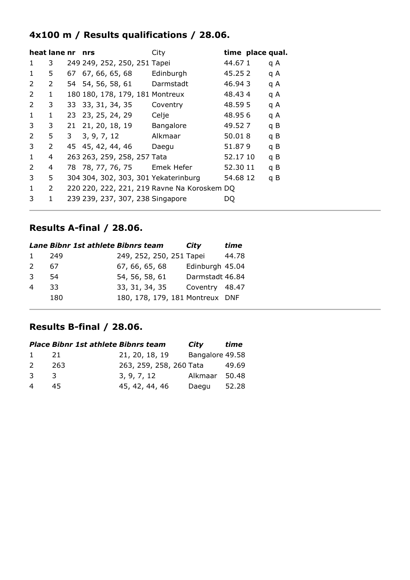#### **4x100 m / Results qualifications / 28.06.**

|               | heat lane nr |    | nrs                                  | City                                        |          | time place qual. |     |
|---------------|--------------|----|--------------------------------------|---------------------------------------------|----------|------------------|-----|
| 1             | 3            |    | 249 249, 252, 250, 251 Tapei         |                                             | 44.671   |                  | q A |
| 1             | 5.           | 67 | 67, 66, 65, 68                       | Edinburgh                                   | 45.25 2  |                  | q A |
| $\mathcal{P}$ | 2            |    | 54 54, 56, 58, 61 Darmstadt          |                                             | 46.943   |                  | q A |
| 2             | 1            |    | 180 180, 178, 179, 181 Montreux      |                                             | 48.434   |                  | q A |
| 2             | 3            |    | 33 33, 31, 34, 35                    | Coventry                                    | 48.595   |                  | q A |
| 1             | 1            |    | 23 23, 25, 24, 29                    | Celje                                       | 48.95 6  |                  | q A |
| 3             | 3            | 21 | 21, 20, 18, 19                       | Bangalore                                   | 49.52.7  |                  | q B |
| 2             | 5.           | 3  | 3, 9, 7, 12                          | Alkmaar                                     | 50.018   |                  | q B |
| 3             | 2            |    | 45 45, 42, 44, 46                    | Daegu                                       | 51.879   |                  | q B |
| 1             | 4            |    | 263 263, 259, 258, 257 Tata          |                                             | 52.17 10 |                  | q B |
| 2             | 4            |    | 78 78, 77, 76, 75 Emek Hefer         |                                             | 52.30 11 |                  | q B |
| 3             | 5.           |    | 304 304, 302, 303, 301 Yekaterinburg |                                             | 54.68 12 |                  | q B |
| 1             | 2            |    |                                      | 220 220, 222, 221, 219 Ravne Na Koroskem DQ |          |                  |     |
| 3             | 1            |    | 239 239, 237, 307, 238 Singapore     |                                             | DO       |                  |     |

#### **Results A-final / 28.06.**

|                | Lane Bibnr 1st athlete Bibnrs team |                                 | City            | time  |
|----------------|------------------------------------|---------------------------------|-----------------|-------|
| $\mathbf{1}$   | 249                                | 249, 252, 250, 251 Tapei        |                 | 44.78 |
| $\mathcal{P}$  | 67                                 | 67, 66, 65, 68                  | Edinburgh 45.04 |       |
| 3              | 54                                 | 54, 56, 58, 61                  | Darmstadt 46.84 |       |
| $\overline{a}$ | 33.                                | 33, 31, 34, 35                  | Coventry 48.47  |       |
|                | 180                                | 180, 178, 179, 181 Montreux DNF |                 |       |
|                |                                    |                                 |                 |       |

#### **Results B-final / 28.06.**

|               | <b>Place Bibnr 1st athlete Bibnrs team</b> |                         | City            | time  |
|---------------|--------------------------------------------|-------------------------|-----------------|-------|
| $\mathbf{1}$  | - 21                                       | 21, 20, 18, 19          | Bangalore 49.58 |       |
| $\mathcal{P}$ | 263                                        | 263, 259, 258, 260 Tata |                 | 49.69 |
| $\mathcal{R}$ | -3                                         | 3, 9, 7, 12             | Alkmaar         | 50.48 |
| 4             | 45.                                        | 45, 42, 44, 46          | Daegu           | 52.28 |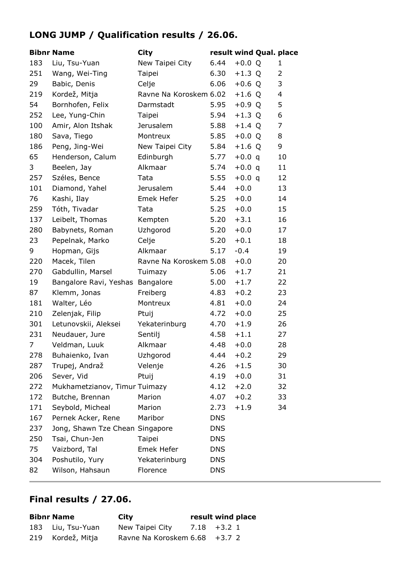## **LONG JUMP / Qualification results / 26.06.**

|     | <b>Bibnr Name</b>               | <b>City</b>            | result wind Qual. place |          |    |
|-----|---------------------------------|------------------------|-------------------------|----------|----|
| 183 | Liu, Tsu-Yuan                   | New Taipei City        | 6.44                    | $+0.0 Q$ | 1  |
| 251 | Wang, Wei-Ting                  | Taipei                 | 6.30                    | $+1.3 Q$ | 2  |
| 29  | Babic, Denis                    | Celje                  | 6.06                    | $+0.6 Q$ | 3  |
| 219 | Kordež, Mitja                   | Ravne Na Koroskem 6.02 |                         | $+1.6$ Q | 4  |
| 54  | Bornhofen, Felix                | Darmstadt              | 5.95                    | $+0.9 Q$ | 5  |
| 252 | Lee, Yung-Chin                  | Taipei                 | 5.94                    | $+1.3$ Q | 6  |
| 100 | Amir, Alon Itshak               | <b>Jerusalem</b>       | 5.88                    | $+1.4 Q$ | 7  |
| 180 | Sava, Tiego                     | Montreux               | 5.85                    | $+0.0 Q$ | 8  |
| 186 | Peng, Jing-Wei                  | New Taipei City        | 5.84                    | $+1.6$ Q | 9  |
| 65  | Henderson, Calum                | Edinburgh              | 5.77                    | $+0.0 q$ | 10 |
| 3   | Beelen, Jay                     | Alkmaar                | 5.74                    | $+0.0 q$ | 11 |
| 257 | Széles, Bence                   | Tata                   | 5.55                    | $+0.0 q$ | 12 |
| 101 | Diamond, Yahel                  | <b>Jerusalem</b>       | 5.44                    | $+0.0$   | 13 |
| 76  | Kashi, Ilay                     | Emek Hefer             | 5.25                    | $+0.0$   | 14 |
| 259 | Tóth, Tivadar                   | Tata                   | 5.25                    | $+0.0$   | 15 |
| 137 | Leibelt, Thomas                 | Kempten                | 5.20                    | $+3.1$   | 16 |
| 280 | Babynets, Roman                 | Uzhgorod               | 5.20                    | $+0.0$   | 17 |
| 23  | Pepelnak, Marko                 | Celje                  | 5.20                    | $+0.1$   | 18 |
| 9   | Hopman, Gijs                    | Alkmaar                | 5.17                    | $-0.4$   | 19 |
| 220 | Macek, Tilen                    | Ravne Na Koroskem 5.08 |                         | $+0.0$   | 20 |
| 270 | Gabdullin, Marsel               | Tuimazy                | 5.06                    | $+1.7$   | 21 |
| 19  | Bangalore Ravi, Yeshas          | Bangalore              | 5.00                    | $+1.7$   | 22 |
| 87  | Klemm, Jonas                    | Freiberg               | 4.83                    | $+0.2$   | 23 |
| 181 | Walter, Léo                     | Montreux               | 4.81                    | $+0.0$   | 24 |
| 210 | Zelenjak, Filip                 | Ptuij                  | 4.72                    | $+0.0$   | 25 |
| 301 | Letunovskii, Aleksei            | Yekaterinburg          | 4.70                    | $+1.9$   | 26 |
| 231 | Neudauer, Jure                  | Sentilj                | 4.58                    | $+1.1$   | 27 |
| 7   | Veldman, Luuk                   | Alkmaar                | 4.48                    | $+0.0$   | 28 |
| 278 | Buhaienko, Ivan                 | Uzhgorod               | $4.44 + 0.2$            |          | 29 |
| 287 | Trupej, Andraž                  | Velenje                | 4.26                    | $+1.5$   | 30 |
| 206 | Sever, Vid                      | Ptuij                  | 4.19                    | $+0.0$   | 31 |
| 272 | Mukhametzianov, Timur Tuimazy   |                        | 4.12                    | $+2.0$   | 32 |
| 172 | Butche, Brennan                 | Marion                 | 4.07                    | $+0.2$   | 33 |
| 171 | Seybold, Micheal                | Marion                 | 2.73                    | $+1.9$   | 34 |
| 167 | Pernek Acker, Rene              | Maribor                | <b>DNS</b>              |          |    |
| 237 | Jong, Shawn Tze Chean Singapore |                        | <b>DNS</b>              |          |    |
| 250 | Tsai, Chun-Jen                  | Taipei                 | <b>DNS</b>              |          |    |
| 75  | Vaizbord, Tal                   | Emek Hefer             | <b>DNS</b>              |          |    |
| 304 | Poshutilo, Yury                 | Yekaterinburg          | <b>DNS</b>              |          |    |
| 82  | Wilson, Hahsaun                 | Florence               | <b>DNS</b>              |          |    |

| <b>Bibnr Name</b> | City                          | result wind place |  |
|-------------------|-------------------------------|-------------------|--|
| 183 Liu, Tsu-Yuan | New Taipei City               | $7.18 + 3.21$     |  |
| 219 Kordež, Mitja | Ravne Na Koroskem 6.68 +3.7 2 |                   |  |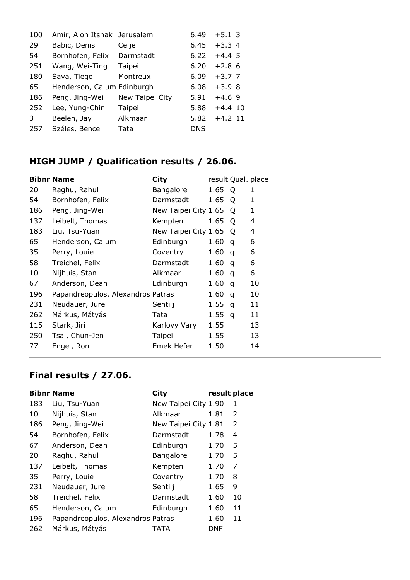| 100 | Amir, Alon Itshak Jerusalem |                 | 6.49       | $+5.1$ 3  |
|-----|-----------------------------|-----------------|------------|-----------|
| 29  | Babic, Denis                | Celje           | 6.45       | $+3.34$   |
| 54  | Bornhofen, Felix            | Darmstadt       | 6.22       | $+4.4\,5$ |
| 251 | Wang, Wei-Ting              | Taipei          | 6.20       | $+2.8$ 6  |
| 180 | Sava, Tiego                 | Montreux        | 6.09       | $+3.77$   |
| 65  | Henderson, Calum Edinburgh  |                 | 6.08       | $+3.98$   |
| 186 | Peng, Jing-Wei              | New Taipei City | 5.91       | $+4.69$   |
| 252 | Lee, Yung-Chin              | Taipei          | 5.88       | $+4.4$ 10 |
| 3   | Beelen, Jay                 | Alkmaar         | 5.82       | $+4.2$ 11 |
| 257 | Széles, Bence               | Tata            | <b>DNS</b> |           |

## **HIGH JUMP / Qualification results / 26.06.**

|     | <b>Bibnr Name</b>                 | <b>City</b>          | result Qual. place |   |              |
|-----|-----------------------------------|----------------------|--------------------|---|--------------|
| 20  | Raghu, Rahul                      | Bangalore            | 1.65               | Q | 1            |
| 54  | Bornhofen, Felix                  | Darmstadt            | 1.65               | O | 1            |
| 186 | Peng, Jing-Wei                    | New Taipei City 1.65 |                    | Q | $\mathbf{1}$ |
| 137 | Leibelt, Thomas                   | Kempten              | 1.65               | O | 4            |
| 183 | Liu, Tsu-Yuan                     | New Taipei City 1.65 |                    | Q | 4            |
| 65  | Henderson, Calum                  | Edinburgh            | 1.60               | q | 6            |
| 35  | Perry, Louie                      | Coventry             | 1.60               | q | 6            |
| 58  | Treichel, Felix                   | Darmstadt            | 1.60               | q | 6            |
| 10  | Nijhuis, Stan                     | Alkmaar              | 1.60               | q | 6            |
| 67  | Anderson, Dean                    | Edinburgh            | 1.60               | q | 10           |
| 196 | Papandreopulos, Alexandros Patras |                      | 1.60               | q | 10           |
| 231 | Neudauer, Jure                    | Sentilj              | 1.55               | q | 11           |
| 262 | Márkus, Mátyás                    | Tata                 | 1.55               | q | 11           |
| 115 | Stark, Jiri                       | Karlovy Vary         | 1.55               |   | 13           |
| 250 | Tsai, Chun-Jen                    | Taipei               | 1.55               |   | 13           |
| 77  | Engel, Ron                        | <b>Emek Hefer</b>    | 1.50               |   | 14           |
|     |                                   |                      |                    |   |              |

|     | <b>Bibnr Name</b>                 | City                 | result place |    |
|-----|-----------------------------------|----------------------|--------------|----|
| 183 | Liu, Tsu-Yuan                     | New Taipei City 1.90 |              | 1  |
| 10  | Nijhuis, Stan                     | Alkmaar              | 1.81         | 2  |
| 186 | Peng, Jing-Wei                    | New Taipei City 1.81 |              | 2  |
| 54  | Bornhofen, Felix                  | Darmstadt            | 1.78         | 4  |
| 67  | Anderson, Dean                    | Edinburgh            | 1.70         | 5  |
| 20  | Raghu, Rahul                      | Bangalore            | 1.70         | 5  |
| 137 | Leibelt, Thomas                   | Kempten              | 1.70         | 7  |
| 35  | Perry, Louie                      | Coventry             | 1.70         | 8  |
| 231 | Neudauer, Jure                    | Sentilj              | 1.65         | 9  |
| 58  | Treichel, Felix                   | Darmstadt            | 1.60         | 10 |
| 65  | Henderson, Calum                  | Edinburgh            | 1.60         | 11 |
| 196 | Papandreopulos, Alexandros Patras |                      | 1.60         | 11 |
| 262 | Márkus, Mátyás                    | TATA                 | DNF          |    |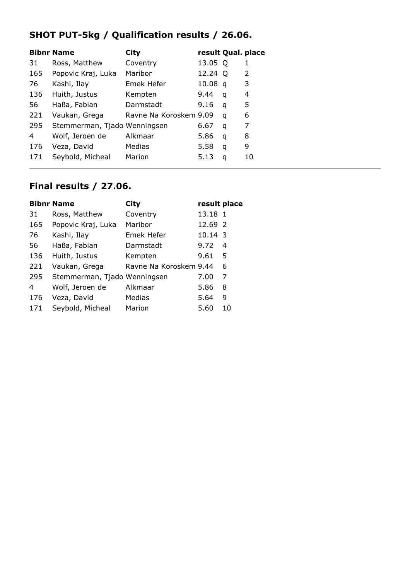## **SHOT PUT-5kg / Qualification results / 26.06.**

|                | <b>Bibnr Name</b>            | City                   | result Qual. place |   |               |
|----------------|------------------------------|------------------------|--------------------|---|---------------|
| 31             | Ross, Matthew                | Coventry               | 13.05 Q            |   | 1             |
| 165            | Popovic Kraj, Luka           | Maribor                | 12.24 Q            |   | $\mathcal{P}$ |
| 76             | Kashi, Ilay                  | Emek Hefer             | 10.08 <sub>q</sub> |   | 3             |
| 136            | Huith, Justus                | Kempten                | 9.44               | q | 4             |
| 56             | Haßa, Fabian                 | Darmstadt              | 9.16               | q | 5             |
| 221            | Vaukan, Grega                | Ravne Na Koroskem 9.09 |                    | a | 6             |
| 295            | Stemmerman, Tjado Wenningsen |                        | 6.67               | q | 7             |
| $\overline{4}$ | Wolf, Jeroen de              | Alkmaar                | 5.86               | q | 8             |
| 176            | Veza, David                  | Medias                 | 5.58               | q | 9             |
| 171            | Seybold, Micheal             | Marion                 | 5.13               | q | 10            |

|     | <b>Bibnr Name</b>            | <b>City</b>            | result place |    |
|-----|------------------------------|------------------------|--------------|----|
| 31  | Ross, Matthew                | Coventry               | 13.18 1      |    |
| 165 | Popovic Kraj, Luka           | Maribor                | 12.69 2      |    |
| 76  | Kashi, Ilay                  | Emek Hefer             | 10.14 3      |    |
| 56  | Haßa, Fabian                 | Darmstadt              | 9.72         | 4  |
| 136 | Huith, Justus                | Kempten                | 9.61         | 5  |
| 221 | Vaukan, Grega                | Ravne Na Koroskem 9.44 |              | 6  |
| 295 | Stemmerman, Tjado Wenningsen |                        | 7.00         | 7  |
| 4   | Wolf, Jeroen de              | Alkmaar                | 5.86         | 8  |
| 176 | Veza, David                  | Medias                 | 5.64         | 9  |
| 171 | Seybold, Micheal             | Marion                 | 5.60         | 10 |
|     |                              |                        |              |    |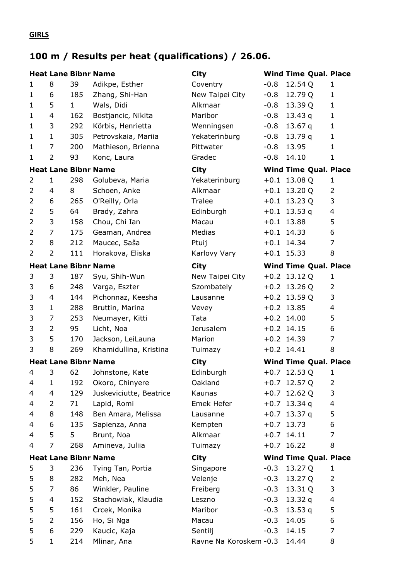#### **GIRLS**

# **100 m / Results per heat (qualifications) / 26.06.**

|                |                |              | <b>Heat Lane Bibnr Name</b> | <b>City</b>             |        | <b>Wind Time Qual. Place</b> |                          |
|----------------|----------------|--------------|-----------------------------|-------------------------|--------|------------------------------|--------------------------|
| $\mathbf{1}$   | 8              | 39           | Adikpe, Esther              | Coventry                | $-0.8$ | 12.54 Q                      | 1                        |
| $\mathbf{1}$   | 6              | 185          | Zhang, Shi-Han              | New Taipei City         | $-0.8$ | 12.79 Q                      | $\mathbf{1}$             |
| $\mathbf{1}$   | 5              | $\mathbf{1}$ | Wals, Didi                  | Alkmaar                 | $-0.8$ | 13.39 Q                      | $\mathbf{1}$             |
| $\mathbf{1}$   | 4              | 162          | Bostjancic, Nikita          | Maribor                 | $-0.8$ | 13.43 $q$                    | $\mathbf{1}$             |
| $\mathbf{1}$   | 3              | 292          | Körbis, Henrietta           | Wenningsen              | $-0.8$ | 13.67 q                      | $\mathbf{1}$             |
| $\mathbf{1}$   | $\mathbf{1}$   | 305          | Petrovskaia, Mariia         | Yekaterinburg           | $-0.8$ | 13.79q                       | $\mathbf{1}$             |
| $\mathbf{1}$   | 7              | 200          | Mathieson, Brienna          | Pittwater               | $-0.8$ | 13.95                        | $\mathbf{1}$             |
| $\mathbf{1}$   | $\overline{2}$ | 93           | Konc, Laura                 | Gradec                  | $-0.8$ | 14.10                        | $\mathbf{1}$             |
|                |                |              | <b>Heat Lane Bibnr Name</b> | <b>City</b>             |        | <b>Wind Time Qual. Place</b> |                          |
| $\overline{2}$ | 1              | 298          | Golubeva, Maria             | Yekaterinburg           |        | $+0.1$ 13.08 Q               | 1                        |
| $\overline{2}$ | 4              | 8            | Schoen, Anke                | Alkmaar                 |        | $+0.1$ 13.20 Q               | $\overline{2}$           |
| $\overline{2}$ | 6              | 265          | O'Reilly, Orla              | Tralee                  |        | $+0.1$ 13.23 Q               | 3                        |
| 2              | 5              | 64           | Brady, Zahra                | Edinburgh               |        | $+0.1$ 13.53 q               | $\overline{\mathcal{A}}$ |
| $\overline{2}$ | 3              | 158          | Chou, Chi Ian               | Macau                   |        | $+0.1$ 13.88                 | 5                        |
| $\overline{2}$ | $\overline{7}$ | 175          | Geaman, Andrea              | Medias                  |        | $+0.1$ 14.33                 | 6                        |
| $\overline{2}$ | 8              | 212          | Maucec, Saša                | Ptuij                   |        | $+0.1$ 14.34                 | $\overline{7}$           |
| $\overline{2}$ | $\overline{2}$ | 111          | Horakova, Eliska            | Karlovy Vary            |        | $+0.1$ 15.33                 | 8                        |
|                |                |              | <b>Heat Lane Bibnr Name</b> | <b>City</b>             |        | <b>Wind Time Qual. Place</b> |                          |
| 3              | 3              | 187          | Syu, Shih-Wun               | New Taipei City         |        | $+0.2$ 13.12 Q               | 1                        |
| 3              | 6              | 248          | Varga, Eszter               | Szombately              |        | $+0.2$ 13.26 Q               | 2                        |
| 3              | 4              | 144          | Pichonnaz, Keesha           | Lausanne                |        | $+0.2$ 13.59 Q               | 3                        |
| 3              | $\mathbf{1}$   | 288          | Bruttin, Marina             | Vevey                   |        | $+0.2$ 13.85                 | $\overline{\mathbf{4}}$  |
| 3              | 7              | 253          | Neumayer, Kitti             | Tata                    |        | $+0.2$ 14.00                 | 5                        |
| 3              | $\overline{2}$ | 95           | Licht, Noa                  | Jerusalem               |        | $+0.2$ 14.15                 | 6                        |
| 3              | 5              | 170          | Jackson, LeiLauna           | Marion                  |        | $+0.2$ 14.39                 | 7                        |
| 3              | 8              | 269          | Khamidullina, Kristina      | Tuimazy                 |        | $+0.2$ 14.41                 | 8                        |
|                |                |              | <b>Heat Lane Bibnr Name</b> | <b>City</b>             |        | <b>Wind Time Qual. Place</b> |                          |
| 4              | 3              | 62           | Johnstone, Kate             | Edinburgh               |        | $+0.7$ 12.53 Q               | 1                        |
| 4              | 1              | 192          | Okoro, Chinyere             | Oakland                 |        | $+0.7$ 12.57 Q               | 2                        |
| 4              | 4              | 129          | Juskeviciutte, Beatrice     | Kaunas                  |        | $+0.7$ 12.62 Q               | 3                        |
| 4              | 2              | 71           | Lapid, Romi                 | Emek Hefer              |        | $+0.7$ 13.34 q               | 4                        |
| 4              | 8              | 148          | Ben Amara, Melissa          | Lausanne                |        | $+0.7$ 13.37 q               | 5                        |
| 4              | 6              | 135          | Sapienza, Anna              | Kempten                 |        | $+0.7$ 13.73                 | 6                        |
| 4              | 5              | 5            | Brunt, Noa                  | Alkmaar                 |        | $+0.7$ 14.11                 | 7                        |
| 4              | 7              | 268          | Amineva, Juliia             | Tuimazy                 |        | $+0.7$ 16.22                 | 8                        |
|                |                |              | <b>Heat Lane Bibnr Name</b> | <b>City</b>             |        | <b>Wind Time Qual. Place</b> |                          |
| 5              | 3              | 236          | Tying Tan, Portia           | Singapore               | $-0.3$ | 13.27 Q                      | 1                        |
| 5              | 8              | 282          | Meh, Nea                    | Velenje                 | $-0.3$ | 13.27 Q                      | 2                        |
| 5              | 7              | 86           | Winkler, Pauline            | Freiberg                | $-0.3$ | 13.31 Q                      | 3                        |
| 5              | 4              | 152          | Stachowiak, Klaudia         | Leszno                  | $-0.3$ | 13.32 $q$                    | $\overline{\mathcal{A}}$ |
| 5              | 5              | 161          | Crcek, Monika               | Maribor                 | $-0.3$ | 13.53 $q$                    | 5                        |
| 5              | $\overline{2}$ | 156          | Ho, Si Nga                  | Macau                   | $-0.3$ | 14.05                        | 6                        |
| 5              | 6              | 229          | Kaucic, Kaja                | Sentilj                 | $-0.3$ | 14.15                        | 7                        |
| 5              | $\mathbf{1}$   | 214          | Mlinar, Ana                 | Ravne Na Koroskem - 0.3 |        | 14.44                        | 8                        |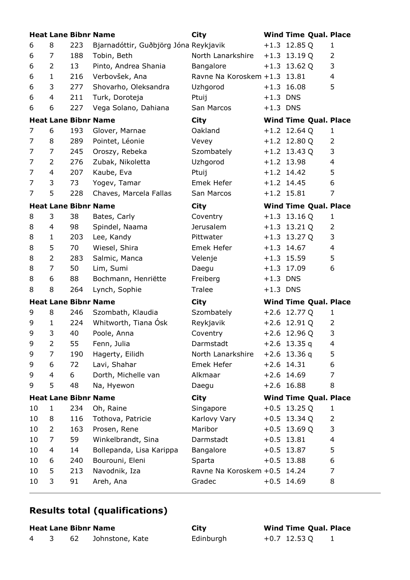|                |                |     | <b>Heat Lane Bibnr Name</b>           | <b>City</b>                  |            | <b>Wind Time Qual. Place</b> |                |
|----------------|----------------|-----|---------------------------------------|------------------------------|------------|------------------------------|----------------|
| 6              | 8              | 223 | Bjarnadóttir, Guðbjörg Jóna Reykjavik |                              |            | $+1.3$ 12.85 Q               | 1              |
| 6              | 7              | 188 | Tobin, Beth                           | North Lanarkshire            |            | $+1.3$ 13.19 Q               | $\overline{2}$ |
| 6              | 2              | 13  | Pinto, Andrea Shania                  | Bangalore                    |            | $+1.3$ 13.62 Q               | 3              |
| 6              | $\mathbf{1}$   | 216 | Verbovšek, Ana                        | Ravne Na Koroskem +1.3 13.81 |            |                              | $\overline{4}$ |
| 6              | 3              | 277 | Shovarho, Oleksandra                  | Uzhgorod                     |            | $+1.3$ 16.08                 | 5              |
| 6              | 4              | 211 | Turk, Doroteja                        | Ptuij                        | $+1.3$ DNS |                              |                |
| 6              | 6              | 227 | Vega Solano, Dahiana                  | San Marcos                   | $+1.3$ DNS |                              |                |
|                |                |     | <b>Heat Lane Bibnr Name</b>           | <b>City</b>                  |            | <b>Wind Time Qual. Place</b> |                |
| $\overline{7}$ | 6              | 193 | Glover, Marnae                        | Oakland                      |            | $+1.2$ 12.64 Q               | 1              |
| 7              | 8              | 289 | Pointet, Léonie                       | Vevey                        |            | $+1.2$ 12.80 Q               | 2              |
| 7              | 7              | 245 | Oroszy, Rebeka                        | Szombately                   |            | $+1.2$ 13.43 Q               | 3              |
| 7              | 2              | 276 | Zubak, Nikoletta                      | Uzhgorod                     |            | $+1.2$ 13.98                 | $\overline{4}$ |
| 7              | 4              | 207 | Kaube, Eva                            | Ptuij                        |            | $+1.2$ 14.42                 | 5              |
| 7              | 3              | 73  | Yogev, Tamar                          | Emek Hefer                   |            | $+1.2$ 14.45                 | 6              |
| 7              | 5              | 228 | Chaves, Marcela Fallas                | San Marcos                   |            | $+1.2$ 15.81                 | 7              |
|                |                |     | <b>Heat Lane Bibnr Name</b>           | <b>City</b>                  |            | <b>Wind Time Qual. Place</b> |                |
| 8              | 3              | 38  | Bates, Carly                          | Coventry                     |            | $+1.3$ 13.16 Q               | 1              |
| 8              | 4              | 98  | Spindel, Naama                        | <b>Jerusalem</b>             |            | $+1.3$ 13.21 Q               | $\overline{2}$ |
| 8              | 1              | 203 | Lee, Kandy                            | Pittwater                    |            | $+1.3$ 13.27 Q               | 3              |
| 8              | 5              | 70  | Wiesel, Shira                         | Emek Hefer                   |            | $+1.3$ 14.67                 | $\overline{4}$ |
| 8              | $\overline{2}$ | 283 | Salmic, Manca                         | Velenje                      |            | $+1.3$ 15.59                 | 5              |
| 8              | $\overline{7}$ | 50  | Lim, Sumi                             | Daegu                        |            | $+1.3$ 17.09                 | 6              |
| 8              | 6              | 88  | Bochmann, Henriëtte                   | Freiberg                     | $+1.3$ DNS |                              |                |
| 8              | 8              | 264 | Lynch, Sophie                         | Tralee                       | $+1.3$ DNS |                              |                |
|                |                |     | <b>Heat Lane Bibnr Name</b>           | <b>City</b>                  |            | <b>Wind Time Qual. Place</b> |                |
| 9              | 8              | 246 | Szombath, Klaudia                     | Szombately                   |            | $+2.6$ 12.77 Q               | $\mathbf{1}$   |
| 9              | 1              | 224 | Whitworth, Tiana Osk                  | Reykjavik                    |            | $+2.6$ 12.91 Q               | 2              |
| 9              | 3              | 40  | Poole, Anna                           | Coventry                     |            | $+2.6$ 12.96 Q               | 3              |
| 9              | 2              | 55  | Fenn, Julia                           | Darmstadt                    |            | $+2.6$ 13.35 q               | 4              |
| 9              | 7              | 190 | Hagerty, Eilidh                       | North Lanarkshire            |            | $+2.6$ 13.36 q               | 5              |
| 9              | 6              | 72  | Lavi, Shahar                          | Emek Hefer                   |            | $+2.6$ 14.31                 | 6              |
| 9              | 4              | 6   | Dorth, Michelle van                   | Alkmaar                      |            | $+2.6$ 14.69                 | $\overline{7}$ |
| 9              | 5              | 48  | Na, Hyewon                            | Daegu                        |            | $+2.6$ 16.88                 | 8              |
|                |                |     | <b>Heat Lane Bibnr Name</b>           | City                         |            | <b>Wind Time Qual. Place</b> |                |
| 10             | 1              | 234 | Oh, Raine                             | Singapore                    |            | $+0.5$ 13.25 Q               | 1              |
| 10             | 8              | 116 | Tothova, Patricie                     | Karlovy Vary                 |            | $+0.5$ 13.34 Q               | $\overline{2}$ |
| 10             | $\overline{2}$ | 163 | Prosen, Rene                          | Maribor                      |            | $+0.5$ 13.69 Q               | 3              |
| 10             | 7              | 59  | Winkelbrandt, Sina                    | Darmstadt                    |            | $+0.5$ 13.81                 | 4              |
| 10             | 4              | 14  | Bollepanda, Lisa Karippa              | Bangalore                    |            | $+0.5$ 13.87                 | 5              |
| 10             | 6              | 240 | Bourouni, Eleni                       | Sparta                       |            | $+0.5$ 13.88                 | 6              |
| 10             | 5              | 213 | Navodnik, Iza                         | Ravne Na Koroskem +0.5 14.24 |            |                              | $\overline{7}$ |
| 10             | 3              | 91  | Areh, Ana                             | Gradec                       |            | $+0.5$ 14.69                 | 8              |

## **Results total (qualifications)**

**Heat Lane Bibnr Name City Wind Time Qual. Place** 4 3 62 Johnstone, Kate Edinburgh +0.7 12.53 Q 1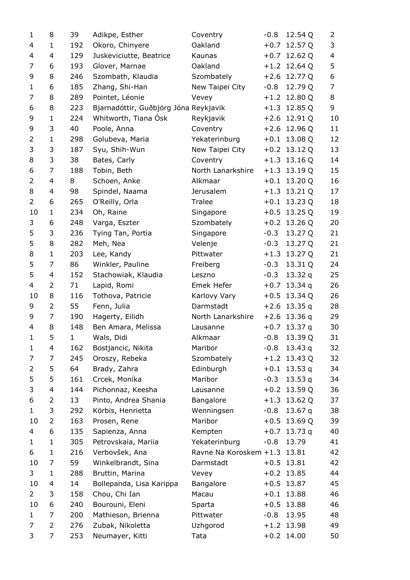| $\mathbf{1}$   | 8            | 39           | Adikpe, Esther                        | Coventry               | $-0.8$ | 12.54 Q        | 2  |
|----------------|--------------|--------------|---------------------------------------|------------------------|--------|----------------|----|
| 4              | 1            | 192          | Okoro, Chinyere                       | Oakland                | $+0.7$ | 12.57 Q        | 3  |
| 4              | 4            | 129          | Juskeviciutte, Beatrice               | Kaunas                 |        | $+0.7$ 12.62 Q | 4  |
| 7              | 6            | 193          | Glover, Marnae                        | Oakland                |        | $+1.2$ 12.64 Q | 5  |
| 9              | 8            | 246          | Szombath, Klaudia                     | Szombately             |        | $+2.6$ 12.77 Q | 6  |
| 1              | 6            | 185          | Zhang, Shi-Han                        | New Taipei City        | $-0.8$ | 12.79 Q        | 7  |
| 7              | 8            | 289          | Pointet, Léonie                       | Vevey                  |        | $+1.2$ 12.80 Q | 8  |
| 6              | 8            | 223          | Bjarnadóttir, Guðbjörg Jóna Reykjavik |                        | $+1.3$ | 12.85 Q        | 9  |
| 9              | $\mathbf{1}$ | 224          | Whitworth, Tiana Ósk                  | Reykjavik              |        | $+2.6$ 12.91 Q | 10 |
| 9              | 3            | 40           | Poole, Anna                           | Coventry               |        | $+2.6$ 12.96 Q | 11 |
| 2              | $\mathbf{1}$ | 298          | Golubeva, Maria                       | Yekaterinburg          | $+0.1$ | 13.08 Q        | 12 |
| 3              | 3            | 187          | Syu, Shih-Wun                         | New Taipei City        |        | $+0.2$ 13.12 Q | 13 |
| 8              | 3            | 38           | Bates, Carly                          | Coventry               |        | $+1.3$ 13.16 Q | 14 |
| 6              | 7            | 188          | Tobin, Beth                           | North Lanarkshire      |        | $+1.3$ 13.19 Q | 15 |
| $\overline{2}$ | 4            | 8            | Schoen, Anke                          | Alkmaar                | $+0.1$ | 13.20 Q        | 16 |
| 8              | 4            | 98           | Spindel, Naama                        | Jerusalem              |        | $+1.3$ 13.21 Q | 17 |
| 2              | 6            | 265          | O'Reilly, Orla                        | Tralee                 | $+0.1$ | 13.23 Q        | 18 |
| 10             | $\mathbf{1}$ | 234          | Oh, Raine                             | Singapore              |        | $+0.5$ 13.25 Q | 19 |
| 3              | 6            | 248          | Varga, Eszter                         | Szombately             |        | $+0.2$ 13.26 Q | 20 |
| 5              | 3            | 236          | Tying Tan, Portia                     | Singapore              | $-0.3$ | 13.27 Q        | 21 |
| 5              | 8            | 282          | Meh, Nea                              | Velenje                | $-0.3$ | 13.27 Q        | 21 |
| 8              | $\mathbf{1}$ | 203          | Lee, Kandy                            | Pittwater              |        | $+1.3$ 13.27 Q | 21 |
| 5              | 7            | 86           | Winkler, Pauline                      | Freiberg               | $-0.3$ | 13.31 Q        | 24 |
| 5              | 4            | 152          | Stachowiak, Klaudia                   | Leszno                 | $-0.3$ | 13.32 $q$      | 25 |
| 4              | 2            | 71           | Lapid, Romi                           | Emek Hefer             | $+0.7$ | 13.34q         | 26 |
| 10             | 8            | 116          | Tothova, Patricie                     | Karlovy Vary           |        | $+0.5$ 13.34 Q | 26 |
| 9              | 2            | 55           | Fenn, Julia                           | Darmstadt              | $+2.6$ | 13.35q         | 28 |
| 9              | 7            | 190          | Hagerty, Eilidh                       | North Lanarkshire      |        | $+2.6$ 13.36 q | 29 |
| 4              | 8            | 148          | Ben Amara, Melissa                    | Lausanne               | $+0.7$ | 13.37 q        | 30 |
| $\mathbf{1}$   | 5            | $\mathbf{1}$ | Wals, Didi                            | Alkmaar                | $-0.8$ | 13.39 Q        | 31 |
| 1              | 4            | 162          | Bostjancic, Nikita                    | Maribor                | $-0.8$ | 13.43 $q$      | 32 |
| 7              | 7            | 245          | Oroszy, Rebeka                        | Szombately             | $+1.2$ | 13.43 Q        | 32 |
| 2              | 5            | 64           | Brady, Zahra                          | Edinburgh              | $+0.1$ | 13.53 $q$      | 34 |
| 5              | 5            | 161          | Crcek, Monika                         | Maribor                | $-0.3$ | 13.53 $q$      | 34 |
| 3              | 4            | 144          | Pichonnaz, Keesha                     | Lausanne               |        | $+0.2$ 13.59 Q | 36 |
| 6              | 2            | 13           | Pinto, Andrea Shania                  | Bangalore              | $+1.3$ | 13.62 Q        | 37 |
| 1              | 3            | 292          | Körbis, Henrietta                     | Wenningsen             | $-0.8$ | 13.67 $q$      | 38 |
| 10             | 2            | 163          | Prosen, Rene                          | Maribor                | $+0.5$ | 13.69 Q        | 39 |
| 4              | 6            | 135          | Sapienza, Anna                        | Kempten                | $+0.7$ | 13.73 $q$      | 40 |
| 1              | $\mathbf{1}$ | 305          | Petrovskaia, Mariia                   | Yekaterinburg          | $-0.8$ | 13.79          | 41 |
| 6              | $\mathbf{1}$ | 216          | Verbovšek, Ana                        | Ravne Na Koroskem +1.3 |        | 13.81          | 42 |
| 10             | 7            | 59           | Winkelbrandt, Sina                    | Darmstadt              | $+0.5$ | 13.81          | 42 |
| 3              | 1            | 288          | Bruttin, Marina                       | Vevey                  |        | $+0.2$ 13.85   | 44 |
| 10             | 4            | 14           | Bollepanda, Lisa Karippa              | Bangalore              |        | $+0.5$ 13.87   | 45 |
| $\overline{2}$ | 3            | 158          | Chou, Chi Ian                         | Macau                  |        | $+0.1$ 13.88   | 46 |
| 10             | 6            | 240          | Bourouni, Eleni                       | Sparta                 | $+0.5$ | 13.88          | 46 |
| $\mathbf 1$    | 7            | 200          | Mathieson, Brienna                    | Pittwater              | $-0.8$ | 13.95          | 48 |
| 7              | 2            | 276          | Zubak, Nikoletta                      | Uzhgorod               |        | $+1.2$ 13.98   | 49 |
| 3              | 7            | 253          | Neumayer, Kitti                       | Tata                   |        | $+0.2$ 14.00   | 50 |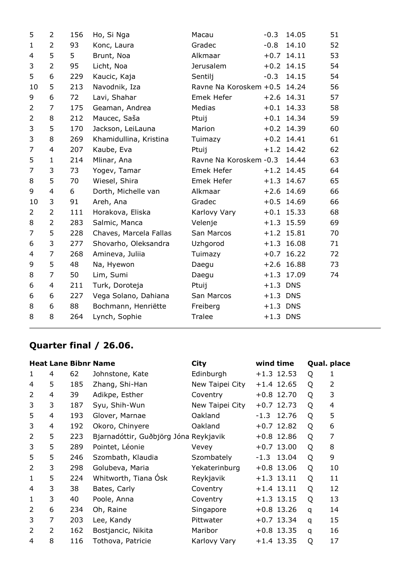| 5              | $\overline{2}$ | 156 | Ho, Si Nga             | Macau                        | $-0.3$     | 14.05        | 51 |
|----------------|----------------|-----|------------------------|------------------------------|------------|--------------|----|
| $\mathbf{1}$   | $\overline{2}$ | 93  | Konc, Laura            | Gradec                       | $-0.8$     | 14.10        | 52 |
| 4              | 5              | 5   | Brunt, Noa             | Alkmaar                      |            | $+0.7$ 14.11 | 53 |
| 3              | $\overline{2}$ | 95  | Licht, Noa             | Jerusalem                    |            | $+0.2$ 14.15 | 54 |
| 5              | 6              | 229 | Kaucic, Kaja           | Sentilj                      | $-0.3$     | 14.15        | 54 |
| 10             | 5              | 213 | Navodnik, Iza          | Ravne Na Koroskem +0.5 14.24 |            |              | 56 |
| 9              | 6              | 72  | Lavi, Shahar           | Emek Hefer                   |            | $+2.6$ 14.31 | 57 |
| $\overline{2}$ | 7              | 175 | Geaman, Andrea         | Medias                       |            | $+0.1$ 14.33 | 58 |
| $\overline{2}$ | 8              | 212 | Maucec, Saša           | Ptuij                        |            | $+0.1$ 14.34 | 59 |
| 3              | 5              | 170 | Jackson, LeiLauna      | Marion                       |            | $+0.2$ 14.39 | 60 |
| 3              | 8              | 269 | Khamidullina, Kristina | Tuimazy                      |            | $+0.2$ 14.41 | 61 |
| 7              | $\overline{4}$ | 207 | Kaube, Eva             | Ptuij                        |            | $+1.2$ 14.42 | 62 |
| 5              | $\mathbf{1}$   | 214 | Mlinar, Ana            | Ravne Na Koroskem - 0.3      |            | 14.44        | 63 |
| 7              | 3              | 73  | Yogev, Tamar           | Emek Hefer                   |            | $+1.2$ 14.45 | 64 |
| 8              | 5              | 70  | Wiesel, Shira          | Emek Hefer                   |            | $+1.3$ 14.67 | 65 |
| 9              | 4              | 6   | Dorth, Michelle van    | Alkmaar                      |            | $+2.6$ 14.69 | 66 |
| 10             | 3              | 91  | Areh, Ana              | Gradec                       |            | $+0.5$ 14.69 | 66 |
| $\overline{2}$ | $\overline{2}$ | 111 | Horakova, Eliska       | Karlovy Vary                 |            | $+0.1$ 15.33 | 68 |
| 8              | $\overline{2}$ | 283 | Salmic, Manca          | Velenje                      |            | $+1.3$ 15.59 | 69 |
| 7              | 5              | 228 | Chaves, Marcela Fallas | San Marcos                   |            | $+1.2$ 15.81 | 70 |
| 6              | 3              | 277 | Shovarho, Oleksandra   | Uzhgorod                     |            | $+1.3$ 16.08 | 71 |
| 4              | 7              | 268 | Amineva, Juliia        | Tuimazy                      |            | $+0.7$ 16.22 | 72 |
| 9              | 5              | 48  | Na, Hyewon             | Daegu                        |            | $+2.6$ 16.88 | 73 |
| 8              | $\overline{7}$ | 50  | Lim, Sumi              | Daegu                        |            | $+1.3$ 17.09 | 74 |
| 6              | 4              | 211 | Turk, Doroteja         | Ptuij                        | $+1.3$ DNS |              |    |
| 6              | 6              | 227 | Vega Solano, Dahiana   | San Marcos                   | $+1.3$ DNS |              |    |
| 8              | 6              | 88  | Bochmann, Henriëtte    | Freiberg                     | $+1.3$ DNS |              |    |
| 8              | 8              | 264 | Lynch, Sophie          | Tralee                       | $+1.3$ DNS |              |    |
|                |                |     |                        |                              |            |              |    |

# **Quarter final / 26.06.**

|                |   |     | <b>Heat Lane Bibnr Name</b>           | <b>City</b>     | wind time    |   | Qual. place |
|----------------|---|-----|---------------------------------------|-----------------|--------------|---|-------------|
| 1              | 4 | 62  | Johnstone, Kate                       | Edinburgh       | $+1.3$ 12.53 | Q | 1           |
| 4              | 5 | 185 | Zhang, Shi-Han                        | New Taipei City | $+1.4$ 12.65 | Q | 2           |
| $\overline{2}$ | 4 | 39  | Adikpe, Esther                        | Coventry        | $+0.8$ 12.70 | Q | 3           |
| 3              | 3 | 187 | Syu, Shih-Wun                         | New Taipei City | $+0.7$ 12.73 | Q | 4           |
| 5              | 4 | 193 | Glover, Marnae                        | Oakland         | $-1.3$ 12.76 | Q | 5           |
| 3              | 4 | 192 | Okoro, Chinyere                       | Oakland         | $+0.7$ 12.82 | Q | 6           |
| $\overline{2}$ | 5 | 223 | Bjarnadóttir, Guðbjörg Jóna Reykjavik |                 | $+0.8$ 12.86 | Q | 7           |
| 3              | 5 | 289 | Pointet, Léonie                       | Vevey           | $+0.7$ 13.00 | Q | 8           |
| 5              | 5 | 246 | Szombath, Klaudia                     | Szombately      | $-1.3$ 13.04 | Q | 9           |
| 2              | 3 | 298 | Golubeva, Maria                       | Yekaterinburg   | $+0.8$ 13.06 | Q | 10          |
| $\mathbf{1}$   | 5 | 224 | Whitworth, Tiana Osk                  | Reykjavik       | $+1.3$ 13.11 | Q | 11          |
| 4              | 3 | 38  | Bates, Carly                          | Coventry        | $+1.4$ 13.11 | Q | 12          |
| 1              | 3 | 40  | Poole, Anna                           | Coventry        | $+1.3$ 13.15 | Q | 13          |
| $\overline{2}$ | 6 | 234 | Oh, Raine                             | Singapore       | $+0.8$ 13.26 | q | 14          |
| 3              | 7 | 203 | Lee, Kandy                            | Pittwater       | $+0.7$ 13.34 | q | 15          |
| $\overline{2}$ | 2 | 162 | Bostjancic, Nikita                    | Maribor         | $+0.8$ 13.35 | q | 16          |
| 4              | 8 | 116 | Tothova, Patricie                     | Karlovy Vary    | $+1.4$ 13.35 | Q | 17          |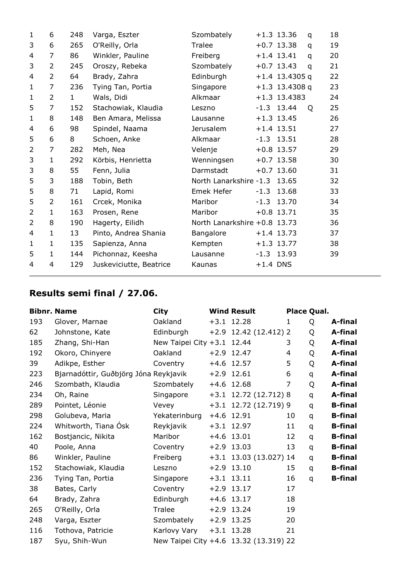| 1              | 6              | 248          | Varga, Eszter           | Szombately                   |            | $+1.3$ 13.36     | q | 18 |
|----------------|----------------|--------------|-------------------------|------------------------------|------------|------------------|---|----|
| 3              | 6              | 265          | O'Reilly, Orla          | Tralee                       |            | $+0.7$ 13.38     | q | 19 |
| 4              | 7              | 86           | Winkler, Pauline        | Freiberg                     |            | $+1.4$ 13.41     | q | 20 |
| 3              | $\overline{2}$ | 245          | Oroszy, Rebeka          | Szombately                   |            | $+0.7$ 13.43     | q | 21 |
| 4              | $\overline{2}$ | 64           | Brady, Zahra            | Edinburgh                    |            | $+1.4$ 13.4305 q |   | 22 |
| $\mathbf{1}$   | 7              | 236          | Tying Tan, Portia       | Singapore                    |            | $+1.3$ 13.4308 q |   | 23 |
| $\mathbf{1}$   | $\overline{2}$ | $\mathbf{1}$ | Wals, Didi              | Alkmaar                      |            | $+1.3$ 13.4383   |   | 24 |
| 5              | $\overline{7}$ | 152          | Stachowiak, Klaudia     | Leszno                       |            | $-1.3$ 13.44     | Q | 25 |
| $\mathbf{1}$   | 8              | 148          | Ben Amara, Melissa      | Lausanne                     |            | $+1.3$ 13.45     |   | 26 |
| 4              | 6              | 98           | Spindel, Naama          | Jerusalem                    |            | $+1.4$ 13.51     |   | 27 |
| 5              | 6              | 8            | Schoen, Anke            | Alkmaar                      |            | $-1.3$ 13.51     |   | 28 |
| $\overline{2}$ | $\overline{7}$ | 282          | Meh, Nea                | Velenje                      |            | $+0.8$ 13.57     |   | 29 |
| 3              | $\mathbf{1}$   | 292          | Körbis, Henrietta       | Wenningsen                   |            | $+0.7$ 13.58     |   | 30 |
| 3              | 8              | 55           | Fenn, Julia             | Darmstadt                    |            | $+0.7$ 13.60     |   | 31 |
| 5              | 3              | 188          | Tobin, Beth             | North Lanarkshire -1.3 13.65 |            |                  |   | 32 |
| 5              | 8              | 71           | Lapid, Romi             | Emek Hefer                   |            | $-1.3$ 13.68     |   | 33 |
| 5              | $\overline{2}$ | 161          | Crcek, Monika           | Maribor                      |            | $-1.3$ 13.70     |   | 34 |
| $\overline{2}$ | $\mathbf{1}$   | 163          | Prosen, Rene            | Maribor                      |            | $+0.8$ 13.71     |   | 35 |
| $\overline{2}$ | 8              | 190          | Hagerty, Eilidh         | North Lanarkshire +0.8 13.73 |            |                  |   | 36 |
| 4              | 1              | 13           | Pinto, Andrea Shania    | Bangalore                    |            | $+1.4$ 13.73     |   | 37 |
| $\mathbf{1}$   | $\mathbf{1}$   | 135          | Sapienza, Anna          | Kempten                      |            | $+1.3$ 13.77     |   | 38 |
| 5              | $\mathbf{1}$   | 144          | Pichonnaz, Keesha       | Lausanne                     |            | $-1.3$ 13.93     |   | 39 |
| 4              | 4              | 129          | Juskeviciutte, Beatrice | Kaunas                       | $+1.4$ DNS |                  |   |    |

## **Results semi final / 27.06.**

|     | <b>Bibnr. Name</b>                    | <b>City</b>                | <b>Wind Result</b>                     |    | Place Qual.  |                |
|-----|---------------------------------------|----------------------------|----------------------------------------|----|--------------|----------------|
| 193 | Glover, Marnae                        | Oakland                    | $+3.1$ 12.28                           | 1  | Q            | A-final        |
| 62  | Johnstone, Kate                       | Edinburgh                  | $+2.9$ 12.42 (12.412) 2                |    | Q            | A-final        |
| 185 | Zhang, Shi-Han                        | New Taipei City +3.1 12.44 |                                        | 3  | Q            | A-final        |
| 192 | Okoro, Chinyere                       | Oakland                    | $+2.9$ 12.47                           | 4  | Q            | A-final        |
| 39  | Adikpe, Esther                        | Coventry                   | $+4.6$ 12.57                           | 5  | Q            | A-final        |
| 223 | Bjarnadóttir, Guðbjörg Jóna Reykjavik |                            | $+2.9$ 12.61                           | 6  | q            | A-final        |
| 246 | Szombath, Klaudia                     | Szombately                 | $+4.6$ 12.68                           | 7  | Q            | A-final        |
| 234 | Oh, Raine                             | Singapore                  | $+3.1$ 12.72 (12.712) 8                |    | q            | A-final        |
| 289 | Pointet, Léonie                       | Vevey                      | +3.1 12.72 (12.719) 9                  |    | $\mathsf{q}$ | <b>B-final</b> |
| 298 | Golubeva, Maria                       | Yekaterinburg              | +4.6 12.91                             | 10 | q            | <b>B-final</b> |
| 224 | Whitworth, Tiana Ósk                  | Reykjavik                  | $+3.1$ 12.97                           | 11 | q            | <b>B-final</b> |
| 162 | Bostjancic, Nikita                    | Maribor                    | $+4.6$ 13.01                           | 12 | q            | <b>B-final</b> |
| 40  | Poole, Anna                           | Coventry                   | $+2.9$ 13.03                           | 13 | q            | <b>B-final</b> |
| 86  | Winkler, Pauline                      | Freiberg                   | +3.1 13.03 (13.027) 14                 |    | q            | <b>B-final</b> |
| 152 | Stachowiak, Klaudia                   | Leszno                     | $+2.9$ 13.10                           | 15 | q            | <b>B-final</b> |
| 236 | Tying Tan, Portia                     | Singapore                  | $+3.1$ 13.11                           | 16 | $\mathsf{q}$ | <b>B-final</b> |
| 38  | Bates, Carly                          | Coventry                   | $+2.9$ 13.17                           | 17 |              |                |
| 64  | Brady, Zahra                          | Edinburgh                  | $+4.6$ 13.17                           | 18 |              |                |
| 265 | O'Reilly, Orla                        | Tralee                     | $+2.9$ 13.24                           | 19 |              |                |
| 248 | Varga, Eszter                         | Szombately                 | $+2.9$ 13.25                           | 20 |              |                |
| 116 | Tothova, Patricie                     | Karlovy Vary               | $+3.1$ 13.28                           | 21 |              |                |
| 187 | Syu, Shih-Wun                         |                            | New Taipei City +4.6 13.32 (13.319) 22 |    |              |                |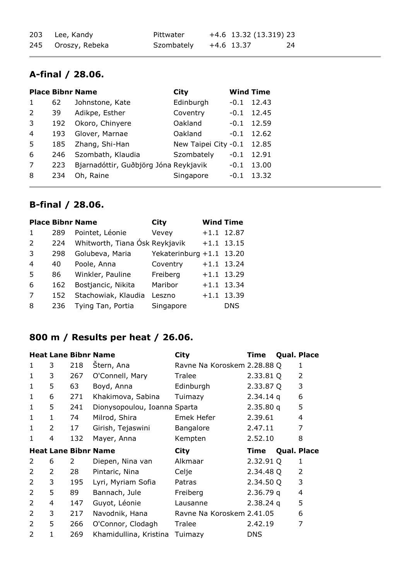| 203 Lee, Kandy     | Pittwater  | +4.6 13.32 (13.319) 23 |    |
|--------------------|------------|------------------------|----|
| 245 Oroszy, Rebeka | Szombately | +4.6 13.37             | 24 |

## **A-final / 28.06.**

|                |     | <b>Place Bibnr Name</b>               | City                 | <b>Wind Time</b> |       |
|----------------|-----|---------------------------------------|----------------------|------------------|-------|
| $\mathbf{1}$   | 62  | Johnstone, Kate                       | Edinburgh            | $-0.1$           | 12.43 |
| 2              | 39  | Adikpe, Esther                        | Coventry             | $-0.1$           | 12.45 |
| 3              | 192 | Okoro, Chinyere                       | Oakland              | $-0.1$           | 12.59 |
| $\overline{4}$ | 193 | Glover, Marnae                        | Oakland              | $-0.1$           | 12.62 |
| 5              | 185 | Zhang, Shi-Han                        | New Taipei City -0.1 |                  | 12.85 |
| 6              | 246 | Szombath, Klaudia                     | Szombately           | $-0.1$           | 12.91 |
| 7              | 223 | Bjarnadóttir, Guðbjörg Jóna Reykjavik |                      | $-0.1$           | 13.00 |
| 8              | 234 | Oh, Raine                             | Singapore            | $-0.1$           | 13.32 |

#### **B-final / 28.06.**

|     |                    | City                                                                                   |                                |                                                |
|-----|--------------------|----------------------------------------------------------------------------------------|--------------------------------|------------------------------------------------|
| 289 | Pointet, Léonie    | Vevey                                                                                  | $+1.1$                         | 12.87                                          |
| 224 |                    |                                                                                        |                                | $+1.1$ 13.15                                   |
| 298 |                    |                                                                                        |                                |                                                |
| 40  | Poole, Anna        | Coventry                                                                               |                                | $+1.1$ 13.24                                   |
| 86  | Winkler, Pauline   | Freiberg                                                                               |                                | $+1.1$ 13.29                                   |
| 162 | Bostjancic, Nikita | Maribor                                                                                |                                | $+1.1$ 13.34                                   |
| 152 |                    | Leszno                                                                                 | $+1.1$                         | 13.39                                          |
| 236 |                    | Singapore                                                                              |                                | DNS                                            |
|     |                    | <b>Place Bibnr Name</b><br>Golubeva, Maria<br>Stachowiak, Klaudia<br>Tying Tan, Portia | Whitworth, Tiana Ósk Reykjavik | <b>Wind Time</b><br>Yekaterinburg $+1.1$ 13.20 |

## **800 m / Results per heat / 26.06.**

|                |   |     | <b>Heat Lane Bibnr Name</b>  | <b>City</b>                 | Time        | Qual. Place        |
|----------------|---|-----|------------------------------|-----------------------------|-------------|--------------------|
| 1              | 3 | 218 | Stern, Ana                   | Ravne Na Koroskem 2.28.88 Q |             | 1                  |
| 1              | 3 | 267 | O'Connell, Mary              | Tralee                      | 2.33.81 Q   | $\overline{2}$     |
| $\mathbf{1}$   | 5 | 63  | Boyd, Anna                   | Edinburgh                   | 2.33.87 Q   | 3                  |
| 1              | 6 | 271 | Khakimova, Sabina            | Tuimazy                     | $2.34.14$ q | 6                  |
| $\mathbf{1}$   | 5 | 241 | Dionysopoulou, Ioanna Sparta |                             | 2.35.80q    | 5                  |
| 1              | 1 | 74  | Milrod, Shira                | Emek Hefer                  | 2.39.61     | 4                  |
| $\mathbf{1}$   | 2 | 17  | Girish, Tejaswini            | <b>Bangalore</b>            | 2.47.11     | 7                  |
| 1              | 4 | 132 | Mayer, Anna                  | Kempten                     | 2.52.10     | 8                  |
|                |   |     |                              |                             |             |                    |
|                |   |     | <b>Heat Lane Bibnr Name</b>  | <b>City</b>                 | <b>Time</b> | <b>Qual. Place</b> |
| 2              | 6 | 2   | Diepen, Nina van             | Alkmaar                     | 2.32.91 Q   | 1                  |
| 2              | 2 | 28  | Pintaric, Nina               | Celje                       | 2.34.48 Q   | $\overline{2}$     |
| 2              | 3 | 195 | Lyri, Myriam Sofia           | Patras                      | 2.34.50 Q   | 3                  |
| 2              | 5 | 89  | Bannach, Jule                | Freiberg                    | 2.36.79q    | 4                  |
| $\overline{2}$ | 4 | 147 | Guyot, Léonie                | Lausanne                    | $2.38.24$ q | 5                  |
| 2              | 3 | 217 | Navodnik, Hana               | Ravne Na Koroskem 2.41.05   |             | 6                  |
| 2              | 5 | 266 | O'Connor, Clodagh            | Tralee                      | 2.42.19     | 7                  |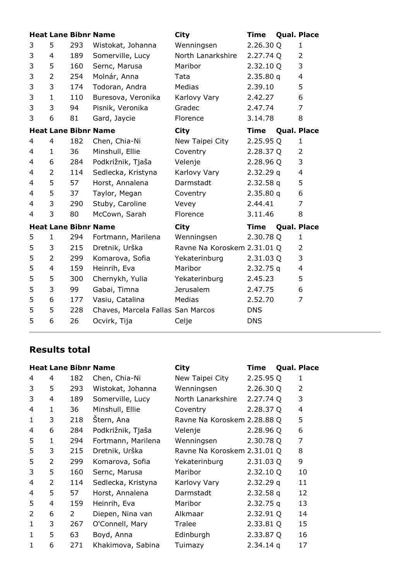|   |                |     | <b>Heat Lane Bibnr Name</b>       | <b>City</b>                 | <b>Time</b> | Qual. Place        |
|---|----------------|-----|-----------------------------------|-----------------------------|-------------|--------------------|
| 3 | 5              | 293 | Wistokat, Johanna                 | Wenningsen                  | 2.26.30 Q   | 1                  |
| 3 | $\overline{4}$ | 189 | Somerville, Lucy                  | North Lanarkshire           | 2.27.74 Q   | $\overline{2}$     |
| 3 | 5              | 160 | Sernc, Marusa                     | Maribor                     | 2.32.10 Q   | 3                  |
| 3 | $\overline{2}$ | 254 | Molnár, Anna                      | Tata                        | 2.35.80q    | $\overline{4}$     |
| 3 | 3              | 174 | Todoran, Andra                    | Medias                      | 2.39.10     | 5                  |
| 3 | $\mathbf{1}$   | 110 | Buresova, Veronika                | Karlovy Vary                | 2.42.27     | 6                  |
| 3 | 3              | 94  | Pisnik, Veronika                  | Gradec                      | 2.47.74     | 7                  |
| 3 | 6              | 81  | Gard, Jaycie                      | Florence                    | 3.14.78     | 8                  |
|   |                |     | <b>Heat Lane Bibnr Name</b>       | <b>City</b>                 | <b>Time</b> | <b>Qual. Place</b> |
| 4 | 4              | 182 | Chen, Chia-Ni                     | New Taipei City             | 2.25.95 Q   | 1                  |
| 4 | $\mathbf{1}$   | 36  | Minshull, Ellie                   | Coventry                    | 2.28.37 Q   | $\overline{2}$     |
| 4 | 6              | 284 | Podkrižnik, Tjaša                 | Velenje                     | 2.28.96 Q   | 3                  |
| 4 | $\overline{2}$ | 114 | Sedlecka, Kristyna                | Karlovy Vary                | 2.32.29q    | $\overline{4}$     |
| 4 | 5              | 57  | Horst, Annalena                   | Darmstadt                   | 2.32.58q    | 5                  |
| 4 | 5              | 37  | Taylor, Megan                     | Coventry                    | 2.35.80q    | 6                  |
| 4 | 3              | 290 | Stuby, Caroline                   | Vevey                       | 2.44.41     | 7                  |
| 4 | 3              | 80  | McCown, Sarah                     | Florence                    | 3.11.46     | 8                  |
|   |                |     | <b>Heat Lane Bibnr Name</b>       | <b>City</b>                 | <b>Time</b> | <b>Qual. Place</b> |
| 5 | 1              | 294 | Fortmann, Marilena                | Wenningsen                  | 2.30.78 Q   | 1                  |
| 5 | 3              | 215 | Dretnik, Urška                    | Ravne Na Koroskem 2.31.01 Q |             | $\overline{2}$     |
| 5 | 2              | 299 | Komarova, Sofia                   | Yekaterinburg               | 2.31.03 Q   | 3                  |
| 5 | 4              | 159 | Heinrih, Eva                      | Maribor                     | 2.32.75q    | $\overline{4}$     |
| 5 | 5              | 300 | Chernykh, Yulia                   | Yekaterinburg               | 2.45.23     | 5                  |
| 5 | 3              | 99  | Gabai, Timna                      | Jerusalem                   | 2.47.75     | 6                  |
| 5 | 6              | 177 | Vasiu, Catalina                   | Medias                      | 2.52.70     | 7                  |
| 5 | 5              | 228 | Chaves, Marcela Fallas San Marcos |                             | <b>DNS</b>  |                    |
| 5 | 6              | 26  | Ocvirk, Tija                      | Celje                       | <b>DNS</b>  |                    |

#### **Results total**

|   |   |     | <b>Heat Lane Bibnr Name</b> | <b>City</b>                 | <b>Time</b> | Qual. Place |
|---|---|-----|-----------------------------|-----------------------------|-------------|-------------|
| 4 | 4 | 182 | Chen, Chia-Ni               | New Taipei City             | 2.25.95 Q   | 1           |
| 3 | 5 | 293 | Wistokat, Johanna           | Wenningsen                  | 2.26.30 Q   | 2           |
| 3 | 4 | 189 | Somerville, Lucy            | North Lanarkshire           | 2.27.74 Q   | 3           |
| 4 | 1 | 36  | Minshull, Ellie             | Coventry                    | 2.28.37Q    | 4           |
| 1 | 3 | 218 | Štern, Ana                  | Ravne Na Koroskem 2.28.88 Q |             | 5           |
| 4 | 6 | 284 | Podkrižnik, Tjaša           | Velenje                     | 2.28.96 Q   | 6           |
| 5 | 1 | 294 | Fortmann, Marilena          | Wenningsen                  | 2.30.78 Q   | 7           |
| 5 | 3 | 215 | Dretnik, Urška              | Ravne Na Koroskem 2.31.01 Q |             | 8           |
| 5 | 2 | 299 | Komarova, Sofia             | Yekaterinburg               | 2.31.03 Q   | 9           |
| 3 | 5 | 160 | Sernc, Marusa               | Maribor                     | 2.32.10 Q   | 10          |
| 4 | 2 | 114 | Sedlecka, Kristyna          | Karlovy Vary                | 2.32.29q    | 11          |
| 4 | 5 | 57  | Horst, Annalena             | Darmstadt                   | $2.32.58$ q | 12          |
| 5 | 4 | 159 | Heinrih, Eva                | Maribor                     | $2.32.75$ q | 13          |
| 2 | 6 | 2   | Diepen, Nina van            | Alkmaar                     | 2.32.91 Q   | 14          |
| 1 | 3 | 267 | O'Connell, Mary             | Tralee                      | 2.33.81 Q   | 15          |
| 1 | 5 | 63  | Boyd, Anna                  | Edinburgh                   | 2.33.87 Q   | 16          |
| 1 | 6 | 271 | Khakimova, Sabina           | Tuimazy                     | $2.34.14$ q | 17          |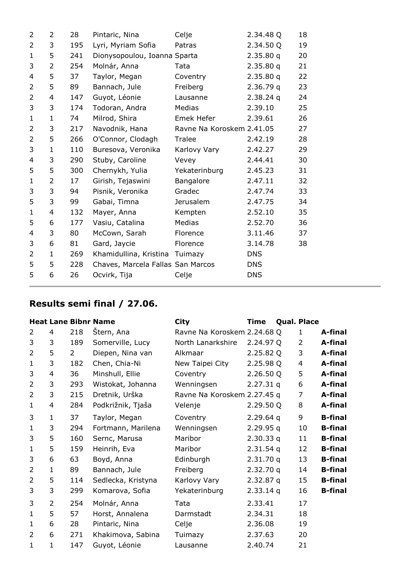| $\overline{2}$           | 2              | 28  | Pintaric, Nina                    | Celje                     | 2.34.48 Q   | 18 |
|--------------------------|----------------|-----|-----------------------------------|---------------------------|-------------|----|
| 2                        | 3              | 195 | Lyri, Myriam Sofia                | Patras                    | 2.34.50 Q   | 19 |
| $\mathbf{1}$             | 5              | 241 | Dionysopoulou, Ioanna Sparta      |                           | 2.35.80q    | 20 |
| 3                        | $\overline{2}$ | 254 | Molnár, Anna                      | Tata                      | 2.35.80q    | 21 |
| $\overline{\mathcal{L}}$ | 5              | 37  | Taylor, Megan                     | Coventry                  | 2.35.80q    | 22 |
| $\overline{2}$           | 5              | 89  | Bannach, Jule                     | Freiberg                  | 2.36.79q    | 23 |
| $\overline{2}$           | 4              | 147 | Guyot, Léonie                     | Lausanne                  | $2.38.24$ q | 24 |
| 3                        | 3              | 174 | Todoran, Andra                    | Medias                    | 2.39.10     | 25 |
| $\mathbf{1}$             | $\mathbf{1}$   | 74  | Milrod, Shira                     | Emek Hefer                | 2.39.61     | 26 |
| 2                        | 3              | 217 | Navodnik, Hana                    | Ravne Na Koroskem 2.41.05 |             | 27 |
| $\overline{2}$           | 5              | 266 | O'Connor, Clodagh                 | Tralee                    | 2.42.19     | 28 |
| 3                        | $\mathbf{1}$   | 110 | Buresova, Veronika                | Karlovy Vary              | 2.42.27     | 29 |
| 4                        | 3              | 290 | Stuby, Caroline                   | Vevey                     | 2.44.41     | 30 |
| 5                        | 5              | 300 | Chernykh, Yulia                   | Yekaterinburg             | 2.45.23     | 31 |
| 1                        | $\overline{2}$ | 17  | Girish, Tejaswini                 | Bangalore                 | 2.47.11     | 32 |
| 3                        | 3              | 94  | Pisnik, Veronika                  | Gradec                    | 2.47.74     | 33 |
| 5                        | 3              | 99  | Gabai, Timna                      | <b>Jerusalem</b>          | 2.47.75     | 34 |
| 1                        | 4              | 132 | Mayer, Anna                       | Kempten                   | 2.52.10     | 35 |
| 5                        | 6              | 177 | Vasiu, Catalina                   | <b>Medias</b>             | 2.52.70     | 36 |
| 4                        | 3              | 80  | McCown, Sarah                     | Florence                  | 3.11.46     | 37 |
| 3                        | 6              | 81  | Gard, Jaycie                      | Florence                  | 3.14.78     | 38 |
| $\overline{2}$           | $\mathbf{1}$   | 269 | Khamidullina, Kristina            | Tuimazy                   | <b>DNS</b>  |    |
| 5                        | 5              | 228 | Chaves, Marcela Fallas San Marcos |                           | <b>DNS</b>  |    |
| 5                        | 6              | 26  | Ocvirk, Tija                      | Celje                     | <b>DNS</b>  |    |

#### **Results semi final / 27.06.**

| <b>Heat Lane Bibnr Name</b> |  |  |
|-----------------------------|--|--|
|-----------------------------|--|--|

|                |                |                | <b>Heat Lane Bibnr Name</b> | <b>City</b>                 | <b>Time</b> | <b>Qual. Place</b> |                |
|----------------|----------------|----------------|-----------------------------|-----------------------------|-------------|--------------------|----------------|
| 2              | 4              | 218            | Štern, Ana                  | Ravne Na Koroskem 2.24.68 Q |             | 1                  | A-final        |
| 3              | 3              | 189            | Somerville, Lucy            | North Lanarkshire           | 2.24.97Q    | 2                  | A-final        |
| 2              | 5              | $\overline{2}$ | Diepen, Nina van            | Alkmaar                     | 2.25.82 Q   | 3                  | A-final        |
| $\mathbf{1}$   | 3              | 182            | Chen, Chia-Ni               | New Taipei City             | 2.25.98 Q   | 4                  | A-final        |
| 3              | 4              | 36             | Minshull, Ellie             | Coventry                    | 2.26.50Q    | 5                  | A-final        |
| $\overline{2}$ | 3              | 293            | Wistokat, Johanna           | Wenningsen                  | $2.27.31$ q | 6                  | A-final        |
| $\overline{2}$ | 3              | 215            | Dretnik, Urška              | Ravne Na Koroskem 2.27.45 q |             | 7                  | A-final        |
| $\mathbf{1}$   | 4              | 284            | Podkrižnik, Tjaša           | Velenje                     | 2.29.50 Q   | 8                  | A-final        |
| 3              | 1              | 37             | Taylor, Megan               | Coventry                    | $2.29.64$ q | 9                  | <b>B-final</b> |
| $\mathbf{1}$   | 3              | 294            | Fortmann, Marilena          | Wenningsen                  | 2.29.95q    | 10                 | <b>B-final</b> |
| 3              | 5              | 160            | Sernc, Marusa               | Maribor                     | 2.30.33q    | 11                 | <b>B-final</b> |
| $\mathbf{1}$   | 5              | 159            | Heinrih, Eva                | Maribor                     | $2.31.54$ q | 12                 | <b>B-final</b> |
| 3              | 6              | 63             | Boyd, Anna                  | Edinburgh                   | 2.31.70q    | 13                 | <b>B-final</b> |
| 2              | 1              | 89             | Bannach, Jule               | Freiberg                    | 2.32.70q    | 14                 | <b>B-final</b> |
| $\overline{2}$ | 5              | 114            | Sedlecka, Kristyna          | Karlovy Vary                | $2.32.87$ q | 15                 | <b>B-final</b> |
| 3              | 3              | 299            | Komarova, Sofia             | Yekaterinburg               | $2.33.14$ q | 16                 | <b>B-final</b> |
| 3              | $\overline{2}$ | 254            | Molnár, Anna                | Tata                        | 2.33.41     | 17                 |                |
| $\mathbf{1}$   | 5              | 57             | Horst, Annalena             | Darmstadt                   | 2.34.31     | 18                 |                |
| 1              | 6              | 28             | Pintaric, Nina              | Celje                       | 2.36.08     | 19                 |                |
| $\overline{2}$ | 6              | 271            | Khakimova, Sabina           | Tuimazy                     | 2.37.63     | 20                 |                |
| 1              | 1              | 147            | Guyot, Léonie               | Lausanne                    | 2.40.74     | 21                 |                |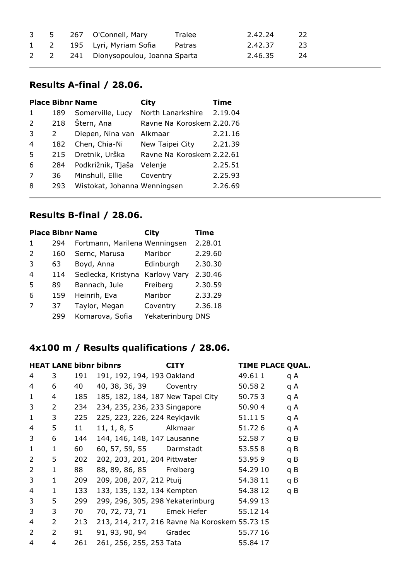|  | 3 5 267 O'Connell, Mary              | Tralee | 2.42.24 | -22 - |
|--|--------------------------------------|--------|---------|-------|
|  | 1 2 195 Lyri, Myriam Sofia Patras    |        | 2.42.37 | -23 - |
|  | 2 2 241 Dionysopoulou, Ioanna Sparta |        | 2.46.35 | - 24  |

#### **Results A-final / 28.06.**

|                |             | <b>Place Bibnr Name</b>      | City                      | <b>Time</b> |
|----------------|-------------|------------------------------|---------------------------|-------------|
| 1              | 189         | Somerville, Lucy             | North Lanarkshire         | 2.19.04     |
| 2              | 218         | Štern, Ana                   | Ravne Na Koroskem 2.20.76 |             |
| 3              | $2^{\circ}$ | Diepen, Nina van Alkmaar     |                           | 2.21.16     |
| $\overline{4}$ | 182         | Chen, Chia-Ni                | New Taipei City           | 2.21.39     |
| 5              | 215         | Dretnik, Urška               | Ravne Na Koroskem 2.22.61 |             |
| 6              | 284         | Podkrižnik, Tjaša            | Velenje                   | 2.25.51     |
| 7              | 36          | Minshull, Ellie              | Coventry                  | 2.25.93     |
| 8              | 293         | Wistokat, Johanna Wenningsen |                           | 2.26.69     |
|                |             |                              |                           |             |

#### **Results B-final / 28.06.**

|              |     | <b>Place Bibnr Name</b>       | City              | <b>Time</b> |
|--------------|-----|-------------------------------|-------------------|-------------|
| $\mathbf{1}$ | 294 | Fortmann, Marilena Wenningsen |                   | 2.28.01     |
| 2            | 160 | Sernc, Marusa                 | Maribor           | 2.29.60     |
| 3            | 63  | Boyd, Anna                    | Edinburgh         | 2.30.30     |
| 4            | 114 | Sedlecka, Kristyna            | Karlovy Vary      | 2.30.46     |
| .5           | 89  | Bannach, Jule                 | Freiberg          | 2.30.59     |
| 6            | 159 | Heinrih, Eva                  | Maribor           | 2.33.29     |
| 7            | 37  | Taylor, Megan                 | Coventry          | 2.36.18     |
|              | 299 | Komarova, Sofia               | Yekaterinburg DNS |             |

## **4x100 m / Results qualifications / 28.06.**

|                |             |     | <b>HEAT LANE bibnr bibnrs</b> | <b>CITY</b>                                   | <b>TIME PLACE QUAL.</b> |     |
|----------------|-------------|-----|-------------------------------|-----------------------------------------------|-------------------------|-----|
| 4              | 3           | 191 | 191, 192, 194, 193 Oakland    |                                               | 49.61 1                 | q A |
| 4              | 6           | 40  | 40, 38, 36, 39 Coventry       |                                               | 50.582                  | q A |
| 1              | 4           | 185 |                               | 185, 182, 184, 187 New Tapei City             | 50.753                  | q A |
| 3              | 2           | 234 | 234, 235, 236, 233 Singapore  |                                               | 50.904                  | q A |
| $\mathbf{1}$   | 3           | 225 | 225, 223, 226, 224 Reykjavik  |                                               | 51.115                  | q A |
| 4              | 5           | 11  | 11, 1, 8, 5 Alkmaar           |                                               | 51.726                  | q A |
| 3              | 6           | 144 | 144, 146, 148, 147 Lausanne   |                                               | 52.587                  | q B |
| 1              | $\mathbf 1$ | 60  | 60, 57, 59, 55 Darmstadt      |                                               | 53.558                  | q B |
| 2              | 5           | 202 | 202, 203, 201, 204 Pittwater  |                                               | 53.959                  | q B |
| 2              | $\mathbf 1$ | 88  | 88, 89, 86, 85 Freiberg       |                                               | 54.29 10                | q B |
| 3              | $\mathbf 1$ | 209 | 209, 208, 207, 212 Ptuij      |                                               | 54.38 11                | q B |
| 4              | 1           | 133 | 133, 135, 132, 134 Kempten    |                                               | 54.38 12                | q B |
| 3              | 5           | 299 |                               | 299, 296, 305, 298 Yekaterinburg              | 54.99 13                |     |
| 3              | 3           | 70  |                               | 70, 72, 73, 71 Emek Hefer                     | 55.12 14                |     |
| 4              | 2           | 213 |                               | 213, 214, 217, 216 Ravne Na Koroskem 55.73 15 |                         |     |
| $\overline{2}$ | 2           | 91  | 91, 93, 90, 94 Gradec         |                                               | 55.77 16                |     |
| 4              | 4           | 261 | 261, 256, 255, 253 Tata       |                                               | 55.84 17                |     |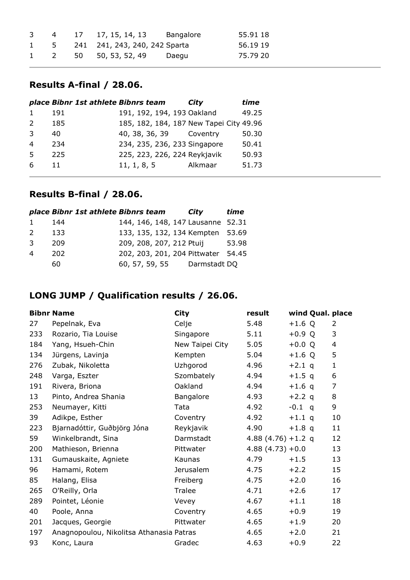| 4 | 17 17, 15, 14, 13 Bangalore       | 55.91 18 |
|---|-----------------------------------|----------|
|   | 1 5 241 241, 243, 240, 242 Sparta | 56.19 19 |
|   | 1 2 50 50, 53, 52, 49 Daegu       | 75.79 20 |

#### **Results A-final / 28.06.**

|                | place Bibnr 1st athlete Bibnrs team |                                         | City    | time  |
|----------------|-------------------------------------|-----------------------------------------|---------|-------|
|                | 191                                 | 191, 192, 194, 193 Oakland              |         | 49.25 |
| 2              | 185                                 | 185, 182, 184, 187 New Tapei City 49.96 |         |       |
| 3              | 40                                  | 40, 38, 36, 39 Coventry                 |         | 50.30 |
| $\overline{4}$ | 234                                 | 234, 235, 236, 233 Singapore            |         | 50.41 |
| -5             | 225                                 | 225, 223, 226, 224 Reykjavik            |         | 50.93 |
| -6             | 11                                  | 11, 1, 8, 5                             | Alkmaar | 51.73 |
|                |                                     |                                         |         |       |

## **Results B-final / 28.06.**

|               | place Bibnr 1st athlete Bibnrs team |                                    | City         | time  |
|---------------|-------------------------------------|------------------------------------|--------------|-------|
|               | 144                                 | 144, 146, 148, 147 Lausanne 52.31  |              |       |
| $\mathcal{L}$ | 133                                 | 133, 135, 132, 134 Kempten         |              | 53.69 |
| -२            | 209                                 | 209, 208, 207, 212 Ptuij           |              | 53.98 |
|               | 202                                 | 202, 203, 201, 204 Pittwater 54.45 |              |       |
|               | 60                                  | 60, 57, 59, 55                     | Darmstadt DQ |       |

## **LONG JUMP / Qualification results / 26.06.**

|     | <b>Bibnr Name</b>                        | <b>City</b>      | result                | wind Qual. place |              |
|-----|------------------------------------------|------------------|-----------------------|------------------|--------------|
| 27  | Pepelnak, Eva                            | Celje            | 5.48                  | $+1.6$ Q         | 2            |
| 233 | Rozario, Tia Louise                      | Singapore        | 5.11                  | $+0.9 Q$         | 3            |
| 184 | Yang, Hsueh-Chin                         | New Taipei City  | 5.05                  | $+0.0 Q$         | 4            |
| 134 | Jürgens, Lavinja                         | Kempten          | 5.04                  | $+1.6 Q$         | 5            |
| 276 | Zubak, Nikoletta                         | Uzhgorod         | 4.96                  | $+2.1$ q         | $\mathbf{1}$ |
| 248 | Varga, Eszter                            | Szombately       | 4.94                  | $+1.5$ q         | 6            |
| 191 | Rivera, Briona                           | Oakland          | 4.94                  | $+1.6$ q         | 7            |
| 13  | Pinto, Andrea Shania                     | Bangalore        | 4.93                  | $+2.2$ q         | 8            |
| 253 | Neumayer, Kitti                          | Tata             | 4.92                  | $-0.1$ q         | 9            |
| 39  | Adikpe, Esther                           | Coventry         | 4.92                  | $+1.1$ q         | 10           |
| 223 | Bjarnadóttir, Guðbjörg Jóna              | Reykjavik        | 4.90                  | $+1.8$ q         | 11           |
| 59  | Winkelbrandt, Sina                       | Darmstadt        | 4.88 $(4.76) + 1.2$ q |                  | 12           |
| 200 | Mathieson, Brienna                       | Pittwater        | $4.88(4.73)+0.0$      |                  | 13           |
| 131 | Gumauskaite, Agniete                     | Kaunas           | 4.79                  | $+1.5$           | 13           |
| 96  | Hamami, Rotem                            | <b>Jerusalem</b> | 4.75                  | $+2.2$           | 15           |
| 85  | Halang, Elisa                            | Freiberg         | 4.75                  | $+2.0$           | 16           |
| 265 | O'Reilly, Orla                           | Tralee           | 4.71                  | $+2.6$           | 17           |
| 289 | Pointet, Léonie                          | Vevey            | 4.67                  | $+1.1$           | 18           |
| 40  | Poole, Anna                              | Coventry         | 4.65                  | $+0.9$           | 19           |
| 201 | Jacques, Georgie                         | Pittwater        | 4.65                  | $+1.9$           | 20           |
| 197 | Anagnopoulou, Nikolitsa Athanasia Patras |                  | 4.65                  | $+2.0$           | 21           |
| 93  | Konc, Laura                              | Gradec           | 4.63                  | $+0.9$           | 22           |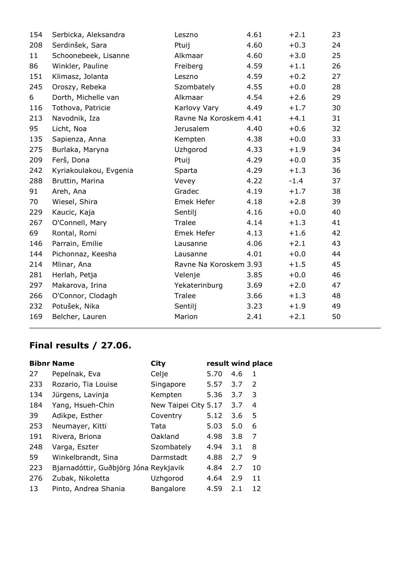| 154 | Serbicka, Aleksandra   | Leszno                 | 4.61 | $+2.1$ | 23 |
|-----|------------------------|------------------------|------|--------|----|
| 208 | Serdinšek, Sara        | Ptuij                  | 4.60 | $+0.3$ | 24 |
| 11  | Schoonebeek, Lisanne   | Alkmaar                | 4.60 | $+3.0$ | 25 |
| 86  | Winkler, Pauline       | Freiberg               | 4.59 | $+1.1$ | 26 |
| 151 | Klimasz, Jolanta       | Leszno                 | 4.59 | $+0.2$ | 27 |
| 245 | Oroszy, Rebeka         | Szombately             | 4.55 | $+0.0$ | 28 |
| 6   | Dorth, Michelle van    | Alkmaar                | 4.54 | $+2.6$ | 29 |
| 116 | Tothova, Patricie      | Karlovy Vary           | 4.49 | $+1.7$ | 30 |
| 213 | Navodnik, Iza          | Ravne Na Koroskem 4.41 |      | $+4.1$ | 31 |
| 95  | Licht, Noa             | <b>Jerusalem</b>       | 4.40 | $+0.6$ | 32 |
| 135 | Sapienza, Anna         | Kempten                | 4.38 | $+0.0$ | 33 |
| 275 | Burlaka, Maryna        | Uzhgorod               | 4.33 | $+1.9$ | 34 |
| 209 | Ferš, Dona             | Ptuij                  | 4.29 | $+0.0$ | 35 |
| 242 | Kyriakoulakou, Evgenia | Sparta                 | 4.29 | $+1.3$ | 36 |
| 288 | Bruttin, Marina        | Vevey                  | 4.22 | $-1.4$ | 37 |
| 91  | Areh, Ana              | Gradec                 | 4.19 | $+1.7$ | 38 |
| 70  | Wiesel, Shira          | Emek Hefer             | 4.18 | $+2.8$ | 39 |
| 229 | Kaucic, Kaja           | Sentilj                | 4.16 | $+0.0$ | 40 |
| 267 | O'Connell, Mary        | Tralee                 | 4.14 | $+1.3$ | 41 |
| 69  | Rontal, Romi           | Emek Hefer             | 4.13 | $+1.6$ | 42 |
| 146 | Parrain, Emilie        | Lausanne               | 4.06 | $+2.1$ | 43 |
| 144 | Pichonnaz, Keesha      | Lausanne               | 4.01 | $+0.0$ | 44 |
| 214 | Mlinar, Ana            | Ravne Na Koroskem 3.93 |      | $+1.5$ | 45 |
| 281 | Herlah, Petja          | Velenje                | 3.85 | $+0.0$ | 46 |
| 297 | Makarova, Irina        | Yekaterinburg          | 3.69 | $+2.0$ | 47 |
| 266 | O'Connor, Clodagh      | Tralee                 | 3.66 | $+1.3$ | 48 |
| 232 | Potušek, Nika          | Sentilj                | 3.23 | $+1.9$ | 49 |
| 169 | Belcher, Lauren        | Marion                 | 2.41 | $+2.1$ | 50 |
|     |                        |                        |      |        |    |

|     | <b>Bibnr Name</b>                     | City                 | result wind place |     |    |
|-----|---------------------------------------|----------------------|-------------------|-----|----|
| 27  | Pepelnak, Eva                         | Celje                | 5.70              | 4.6 | 1  |
| 233 | Rozario, Tia Louise                   | Singapore            | 5.57              | 3.7 | 2  |
| 134 | Jürgens, Lavinja                      | Kempten              | 5.36              | 3.7 | 3  |
| 184 | Yang, Hsueh-Chin                      | New Taipei City 5.17 |                   | 3.7 | 4  |
| 39  | Adikpe, Esther                        | Coventry             | 5.12              | 3.6 | 5  |
| 253 | Neumayer, Kitti                       | Tata                 | 5.03              | 5.0 | 6  |
| 191 | Rivera, Briona                        | Oakland              | 4.98              | 3.8 | 7  |
| 248 | Varga, Eszter                         | Szombately           | 4.94              | 3.1 | 8  |
| 59  | Winkelbrandt, Sina                    | Darmstadt            | 4.88              | 2.7 | 9  |
| 223 | Bjarnadóttir, Guðbjörg Jóna Reykjavik |                      | 4.84              | 2.7 | 10 |
| 276 | Zubak, Nikoletta                      | Uzhgorod             | 4.64              | 2.9 | 11 |
| 13  | Pinto, Andrea Shania                  | <b>Bangalore</b>     | 4.59              | 2.1 | 12 |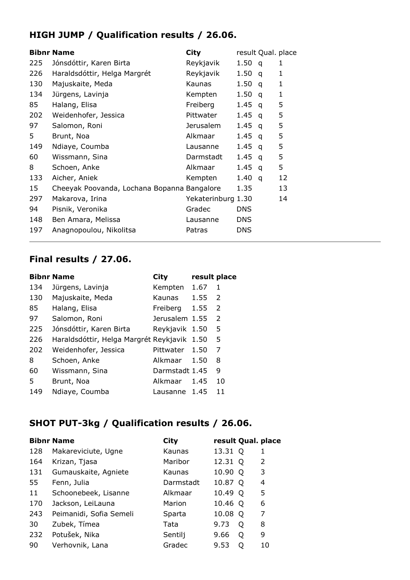## **HIGH JUMP / Qualification results / 26.06.**

|     | <b>Bibnr Name</b>                           | <b>City</b>        |            | result Qual. place |    |
|-----|---------------------------------------------|--------------------|------------|--------------------|----|
| 225 | Jónsdóttir, Karen Birta                     | Reykjavik          | 1.50       | q                  | 1  |
| 226 | Haraldsdóttir, Helga Margrét                | Reykjavik          | 1.50       | q                  | 1  |
| 130 | Majuskaite, Meda                            | Kaunas             | 1.50       | q                  | 1  |
| 134 | Jürgens, Lavinja                            | Kempten            | 1.50       | q                  | 1  |
| 85  | Halang, Elisa                               | Freiberg           | 1.45       | q                  | 5  |
| 202 | Weidenhofer, Jessica                        | Pittwater          | 1.45       | q                  | 5  |
| 97  | Salomon, Roni                               | Jerusalem          | 1.45       | q                  | 5  |
| 5   | Brunt, Noa                                  | Alkmaar            | 1.45       | q                  | 5  |
| 149 | Ndiaye, Coumba                              | Lausanne           | 1.45       | q                  | 5  |
| 60  | Wissmann, Sina                              | Darmstadt          | 1.45       | q                  | 5  |
| 8   | Schoen, Anke                                | Alkmaar            | 1.45       | q                  | 5  |
| 133 | Aicher, Aniek                               | Kempten            | 1.40       | q                  | 12 |
| 15  | Cheeyak Poovanda, Lochana Bopanna Bangalore |                    | 1.35       |                    | 13 |
| 297 | Makarova, Irina                             | Yekaterinburg 1.30 |            |                    | 14 |
| 94  | Pisnik, Veronika                            | Gradec             | DNS.       |                    |    |
| 148 | Ben Amara, Melissa                          | Lausanne           | DNS.       |                    |    |
| 197 | Anagnopoulou, Nikolitsa                     | Patras             | <b>DNS</b> |                    |    |

#### **Final results / 27.06.**

|     | <b>Bibnr Name</b>                           | <b>City</b>    | result place |    |
|-----|---------------------------------------------|----------------|--------------|----|
| 134 | Jürgens, Lavinja                            | Kempten        | 1.67         | 1  |
| 130 | Majuskaite, Meda                            | Kaunas         | 1.55         | 2  |
| 85  | Halang, Elisa                               | Freiberg       | 1.55         | 2  |
| 97  | Salomon, Roni                               | Jerusalem 1.55 |              | 2  |
| 225 | Jónsdóttir, Karen Birta                     | Reykjavik 1.50 |              | 5  |
| 226 | Haraldsdóttir, Helga Margrét Reykjavik 1.50 |                |              | 5  |
| 202 | Weidenhofer, Jessica                        | Pittwater      | 1.50         | 7  |
| 8   | Schoen, Anke                                | Alkmaar        | 1.50         | 8  |
| 60  | Wissmann, Sina                              | Darmstadt 1.45 |              | 9  |
| 5   | Brunt, Noa                                  | Alkmaar        | 1.45         | 10 |
| 149 | Ndiaye, Coumba                              | Lausanne       | 1.45         | 11 |

## **SHOT PUT-3kg / Qualification results / 26.06.**

|     | <b>Bibnr Name</b>       | City      | result Qual. place |         |    |
|-----|-------------------------|-----------|--------------------|---------|----|
| 128 | Makareviciute, Ugne     | Kaunas    | 13.31 Q            |         | 1  |
| 164 | Krizan, Tjasa           | Maribor   | 12.31 Q            |         | 2  |
| 131 | Gumauskaite, Agniete    | Kaunas    | 10.90              | $\circ$ | 3  |
| 55  | Fenn, Julia             | Darmstadt | 10.87 Q            |         | 4  |
| 11  | Schoonebeek, Lisanne    | Alkmaar   | 10.49 Q            |         | 5  |
| 170 | Jackson, LeiLauna       | Marion    | 10.46 Q            |         | 6  |
| 243 | Peimanidi, Sofia Semeli | Sparta    | 10.08              | O       | 7  |
| 30  | Zubek, Tímea            | Tata      | 9.73               | O       | 8  |
| 232 | Potušek, Nika           | Sentilj   | 9.66               | Q       | 9  |
| 90  | Verhovnik, Lana         | Gradec    | 9.53               | Ő       | 10 |